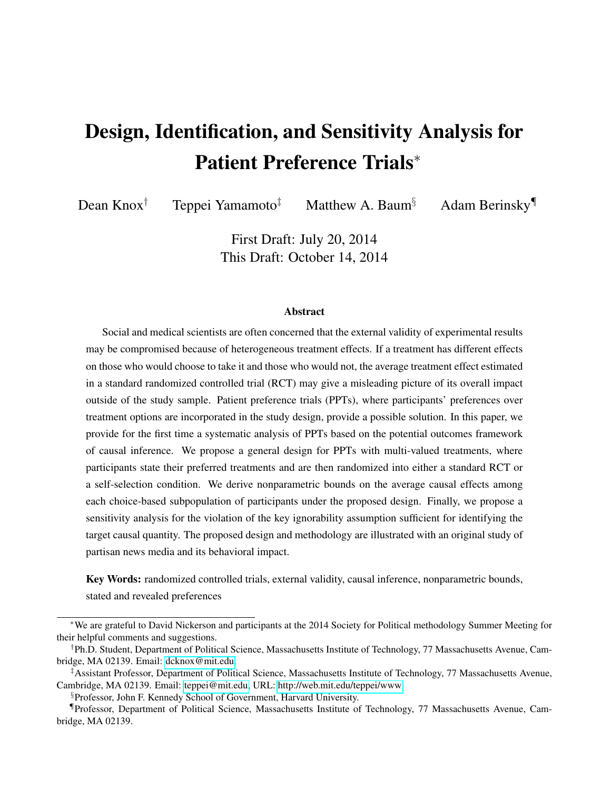# Design, Identification, and Sensitivity Analysis for Patient Preference Trials<sup>∗</sup>

Dean Knox<sup>†</sup> Teppei Yamamoto<sup>‡</sup> Matthew A. Baum<sup>§</sup> Adam Berinsky<sup>¶</sup>

First Draft: July 20, 2014 This Draft: October 14, 2014

#### **Abstract**

Social and medical scientists are often concerned that the external validity of experimental results may be compromised because of heterogeneous treatment effects. If a treatment has different effects on those who would choose to take it and those who would not, the average treatment effect estimated in a standard randomized controlled trial (RCT) may give a misleading picture of its overall impact outside of the study sample. Patient preference trials (PPTs), where participants' preferences over treatment options are incorporated in the study design, provide a possible solution. In this paper, we provide for the first time a systematic analysis of PPTs based on the potential outcomes framework of causal inference. We propose a general design for PPTs with multi-valued treatments, where participants state their preferred treatments and are then randomized into either a standard RCT or a self-selection condition. We derive nonparametric bounds on the average causal effects among each choice-based subpopulation of participants under the proposed design. Finally, we propose a sensitivity analysis for the violation of the key ignorability assumption sufficient for identifying the target causal quantity. The proposed design and methodology are illustrated with an original study of partisan news media and its behavioral impact.

Key Words: randomized controlled trials, external validity, causal inference, nonparametric bounds, stated and revealed preferences

<sup>∗</sup>We are grateful to David Nickerson and participants at the 2014 Society for Political methodology Summer Meeting for their helpful comments and suggestions.

<sup>†</sup>Ph.D. Student, Department of Political Science, Massachusetts Institute of Technology, 77 Massachusetts Avenue, Cambridge, MA 02139. Email: [dcknox@mit.edu.](dcknox@mit.edu)

<sup>‡</sup>Assistant Professor, Department of Political Science, Massachusetts Institute of Technology, 77 Massachusetts Avenue, Cambridge, MA 02139. Email: [teppei@mit.edu,](teppei@mit.edu) URL:<http://web.mit.edu/teppei/www>

<sup>§</sup>Professor, John F. Kennedy School of Government, Harvard University.

<sup>¶</sup>Professor, Department of Political Science, Massachusetts Institute of Technology, 77 Massachusetts Avenue, Cambridge, MA 02139.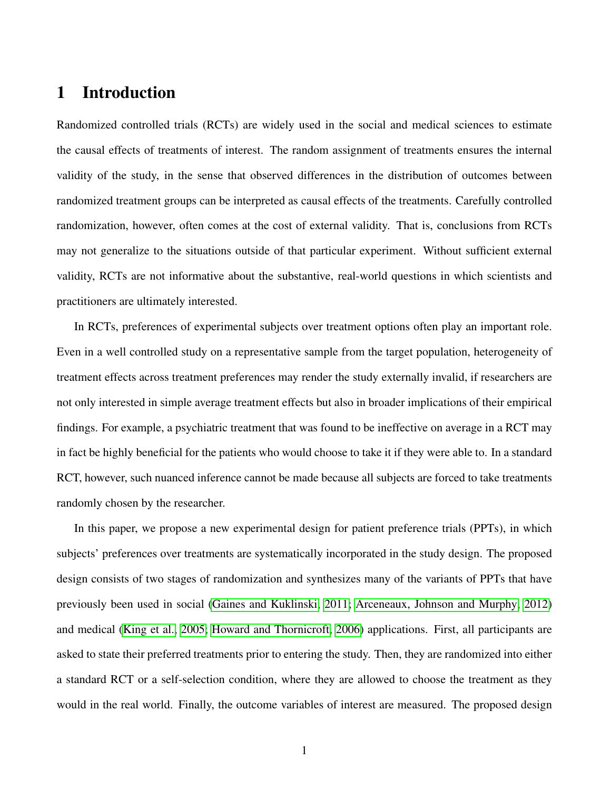# 1 Introduction

Randomized controlled trials (RCTs) are widely used in the social and medical sciences to estimate the causal effects of treatments of interest. The random assignment of treatments ensures the internal validity of the study, in the sense that observed differences in the distribution of outcomes between randomized treatment groups can be interpreted as causal effects of the treatments. Carefully controlled randomization, however, often comes at the cost of external validity. That is, conclusions from RCTs may not generalize to the situations outside of that particular experiment. Without sufficient external validity, RCTs are not informative about the substantive, real-world questions in which scientists and practitioners are ultimately interested.

In RCTs, preferences of experimental subjects over treatment options often play an important role. Even in a well controlled study on a representative sample from the target population, heterogeneity of treatment effects across treatment preferences may render the study externally invalid, if researchers are not only interested in simple average treatment effects but also in broader implications of their empirical findings. For example, a psychiatric treatment that was found to be ineffective on average in a RCT may in fact be highly beneficial for the patients who would choose to take it if they were able to. In a standard RCT, however, such nuanced inference cannot be made because all subjects are forced to take treatments randomly chosen by the researcher.

In this paper, we propose a new experimental design for patient preference trials (PPTs), in which subjects' preferences over treatments are systematically incorporated in the study design. The proposed design consists of two stages of randomization and synthesizes many of the variants of PPTs that have previously been used in social [\(Gaines and Kuklinski, 2011;](#page-33-0) [Arceneaux, Johnson and Murphy, 2012\)](#page-32-0) and medical [\(King et al., 2005;](#page-34-0) [Howard and Thornicroft, 2006\)](#page-33-1) applications. First, all participants are asked to state their preferred treatments prior to entering the study. Then, they are randomized into either a standard RCT or a self-selection condition, where they are allowed to choose the treatment as they would in the real world. Finally, the outcome variables of interest are measured. The proposed design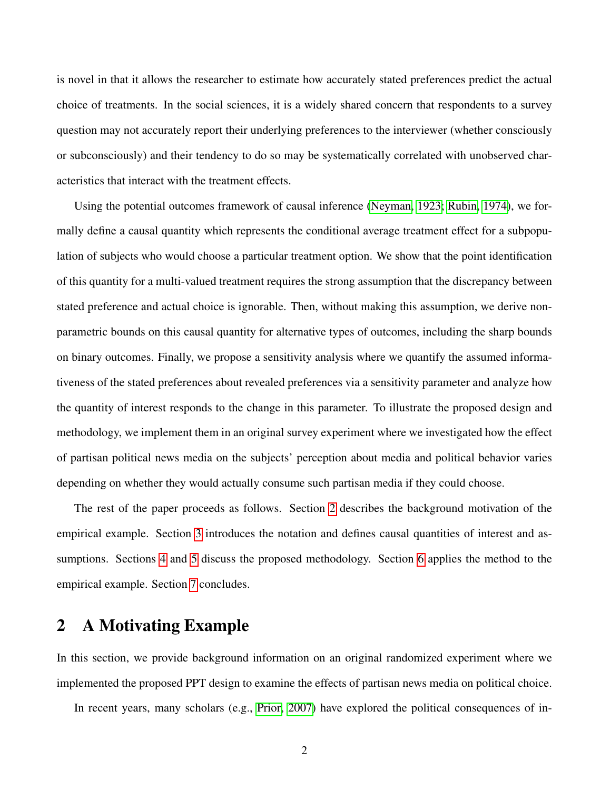is novel in that it allows the researcher to estimate how accurately stated preferences predict the actual choice of treatments. In the social sciences, it is a widely shared concern that respondents to a survey question may not accurately report their underlying preferences to the interviewer (whether consciously or subconsciously) and their tendency to do so may be systematically correlated with unobserved characteristics that interact with the treatment effects.

Using the potential outcomes framework of causal inference [\(Neyman, 1923;](#page-34-1) [Rubin, 1974\)](#page-34-2), we formally define a causal quantity which represents the conditional average treatment effect for a subpopulation of subjects who would choose a particular treatment option. We show that the point identification of this quantity for a multi-valued treatment requires the strong assumption that the discrepancy between stated preference and actual choice is ignorable. Then, without making this assumption, we derive nonparametric bounds on this causal quantity for alternative types of outcomes, including the sharp bounds on binary outcomes. Finally, we propose a sensitivity analysis where we quantify the assumed informativeness of the stated preferences about revealed preferences via a sensitivity parameter and analyze how the quantity of interest responds to the change in this parameter. To illustrate the proposed design and methodology, we implement them in an original survey experiment where we investigated how the effect of partisan political news media on the subjects' perception about media and political behavior varies depending on whether they would actually consume such partisan media if they could choose.

The rest of the paper proceeds as follows. Section [2](#page-2-0) describes the background motivation of the empirical example. Section [3](#page-4-0) introduces the notation and defines causal quantities of interest and assumptions. Sections [4](#page-11-0) and [5](#page-16-0) discuss the proposed methodology. Section [6](#page-18-0) applies the method to the empirical example. Section [7](#page-24-0) concludes.

# <span id="page-2-0"></span>2 A Motivating Example

In this section, we provide background information on an original randomized experiment where we implemented the proposed PPT design to examine the effects of partisan news media on political choice.

In recent years, many scholars (e.g., [Prior, 2007\)](#page-34-3) have explored the political consequences of in-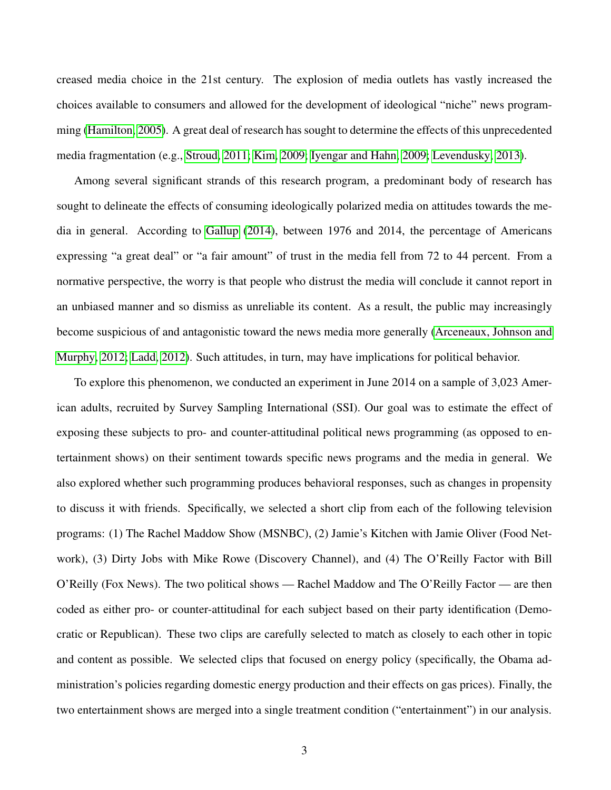creased media choice in the 21st century. The explosion of media outlets has vastly increased the choices available to consumers and allowed for the development of ideological "niche" news programming [\(Hamilton, 2005\)](#page-33-2). A great deal of research has sought to determine the effects of this unprecedented media fragmentation (e.g., [Stroud, 2011;](#page-35-0) [Kim, 2009;](#page-34-4) [Iyengar and Hahn, 2009;](#page-33-3) [Levendusky, 2013\)](#page-34-5).

Among several significant strands of this research program, a predominant body of research has sought to delineate the effects of consuming ideologically polarized media on attitudes towards the media in general. According to [Gallup](#page-33-4) [\(2014\)](#page-33-4), between 1976 and 2014, the percentage of Americans expressing "a great deal" or "a fair amount" of trust in the media fell from 72 to 44 percent. From a normative perspective, the worry is that people who distrust the media will conclude it cannot report in an unbiased manner and so dismiss as unreliable its content. As a result, the public may increasingly become suspicious of and antagonistic toward the news media more generally [\(Arceneaux, Johnson and](#page-32-0) [Murphy, 2012;](#page-32-0) [Ladd, 2012\)](#page-34-6). Such attitudes, in turn, may have implications for political behavior.

To explore this phenomenon, we conducted an experiment in June 2014 on a sample of 3,023 American adults, recruited by Survey Sampling International (SSI). Our goal was to estimate the effect of exposing these subjects to pro- and counter-attitudinal political news programming (as opposed to entertainment shows) on their sentiment towards specific news programs and the media in general. We also explored whether such programming produces behavioral responses, such as changes in propensity to discuss it with friends. Specifically, we selected a short clip from each of the following television programs: (1) The Rachel Maddow Show (MSNBC), (2) Jamie's Kitchen with Jamie Oliver (Food Network), (3) Dirty Jobs with Mike Rowe (Discovery Channel), and (4) The O'Reilly Factor with Bill O'Reilly (Fox News). The two political shows — Rachel Maddow and The O'Reilly Factor — are then coded as either pro- or counter-attitudinal for each subject based on their party identification (Democratic or Republican). These two clips are carefully selected to match as closely to each other in topic and content as possible. We selected clips that focused on energy policy (specifically, the Obama administration's policies regarding domestic energy production and their effects on gas prices). Finally, the two entertainment shows are merged into a single treatment condition ("entertainment") in our analysis.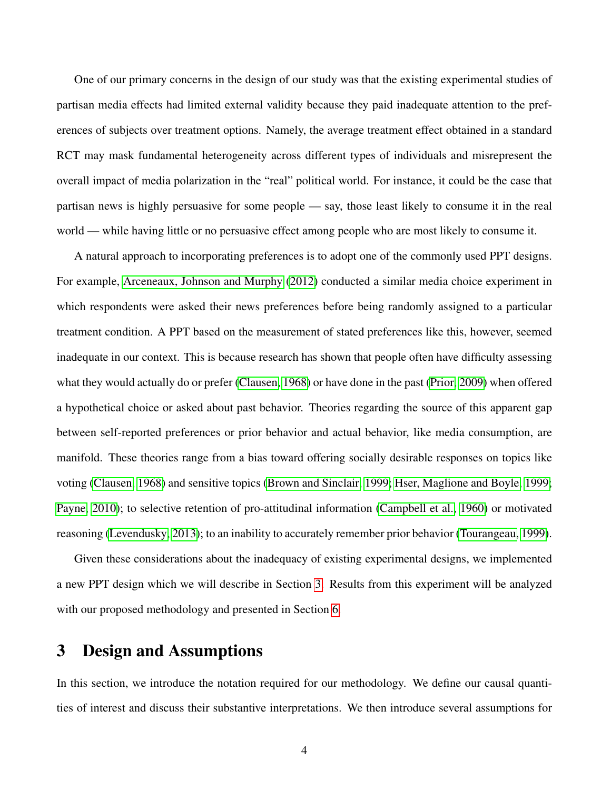One of our primary concerns in the design of our study was that the existing experimental studies of partisan media effects had limited external validity because they paid inadequate attention to the preferences of subjects over treatment options. Namely, the average treatment effect obtained in a standard RCT may mask fundamental heterogeneity across different types of individuals and misrepresent the overall impact of media polarization in the "real" political world. For instance, it could be the case that partisan news is highly persuasive for some people — say, those least likely to consume it in the real world — while having little or no persuasive effect among people who are most likely to consume it.

A natural approach to incorporating preferences is to adopt one of the commonly used PPT designs. For example, [Arceneaux, Johnson and Murphy](#page-32-0) [\(2012\)](#page-32-0) conducted a similar media choice experiment in which respondents were asked their news preferences before being randomly assigned to a particular treatment condition. A PPT based on the measurement of stated preferences like this, however, seemed inadequate in our context. This is because research has shown that people often have difficulty assessing what they would actually do or prefer [\(Clausen, 1968\)](#page-32-1) or have done in the past [\(Prior, 2009\)](#page-34-7) when offered a hypothetical choice or asked about past behavior. Theories regarding the source of this apparent gap between self-reported preferences or prior behavior and actual behavior, like media consumption, are manifold. These theories range from a bias toward offering socially desirable responses on topics like voting [\(Clausen, 1968\)](#page-32-1) and sensitive topics [\(Brown and Sinclair, 1999;](#page-32-2) [Hser, Maglione and Boyle, 1999;](#page-33-5) [Payne, 2010\)](#page-34-8); to selective retention of pro-attitudinal information [\(Campbell et al., 1960\)](#page-32-3) or motivated reasoning [\(Levendusky, 2013\)](#page-34-5); to an inability to accurately remember prior behavior [\(Tourangeau, 1999\)](#page-35-1).

Given these considerations about the inadequacy of existing experimental designs, we implemented a new PPT design which we will describe in Section [3.](#page-4-0) Results from this experiment will be analyzed with our proposed methodology and presented in Section [6.](#page-18-0)

# <span id="page-4-0"></span>3 Design and Assumptions

In this section, we introduce the notation required for our methodology. We define our causal quantities of interest and discuss their substantive interpretations. We then introduce several assumptions for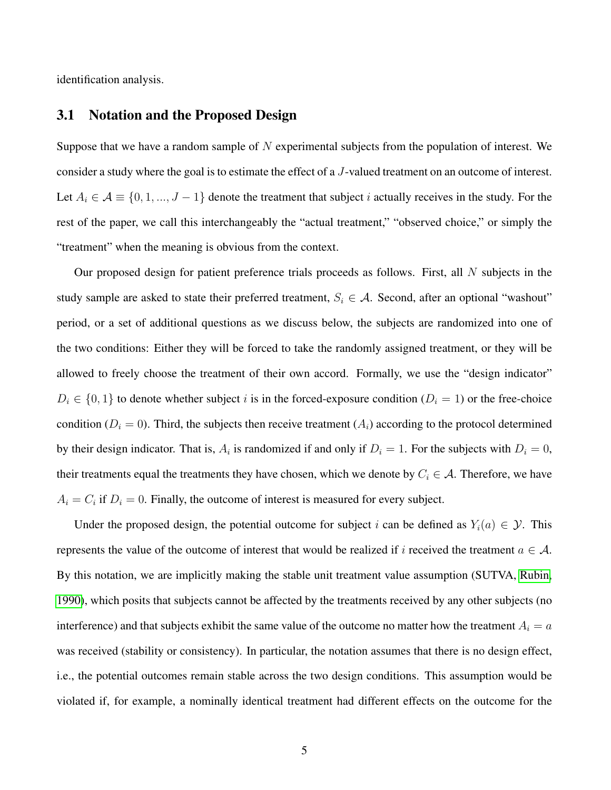<span id="page-5-0"></span>identification analysis.

#### 3.1 Notation and the Proposed Design

Suppose that we have a random sample of  $N$  experimental subjects from the population of interest. We consider a study where the goal is to estimate the effect of a J-valued treatment on an outcome of interest. Let  $A_i \in \mathcal{A} \equiv \{0, 1, ..., J - 1\}$  denote the treatment that subject i actually receives in the study. For the rest of the paper, we call this interchangeably the "actual treatment," "observed choice," or simply the "treatment" when the meaning is obvious from the context.

Our proposed design for patient preference trials proceeds as follows. First, all  $N$  subjects in the study sample are asked to state their preferred treatment,  $S_i \in A$ . Second, after an optional "washout" period, or a set of additional questions as we discuss below, the subjects are randomized into one of the two conditions: Either they will be forced to take the randomly assigned treatment, or they will be allowed to freely choose the treatment of their own accord. Formally, we use the "design indicator"  $D_i \in \{0, 1\}$  to denote whether subject i is in the forced-exposure condition  $(D_i = 1)$  or the free-choice condition ( $D_i = 0$ ). Third, the subjects then receive treatment ( $A_i$ ) according to the protocol determined by their design indicator. That is,  $A_i$  is randomized if and only if  $D_i = 1$ . For the subjects with  $D_i = 0$ , their treatments equal the treatments they have chosen, which we denote by  $C_i \in \mathcal{A}$ . Therefore, we have  $A_i = C_i$  if  $D_i = 0$ . Finally, the outcome of interest is measured for every subject.

Under the proposed design, the potential outcome for subject i can be defined as  $Y_i(a) \in \mathcal{Y}$ . This represents the value of the outcome of interest that would be realized if i received the treatment  $a \in \mathcal{A}$ . By this notation, we are implicitly making the stable unit treatment value assumption (SUTVA, [Rubin,](#page-35-2) [1990\)](#page-35-2), which posits that subjects cannot be affected by the treatments received by any other subjects (no interference) and that subjects exhibit the same value of the outcome no matter how the treatment  $A_i = a$ was received (stability or consistency). In particular, the notation assumes that there is no design effect, i.e., the potential outcomes remain stable across the two design conditions. This assumption would be violated if, for example, a nominally identical treatment had different effects on the outcome for the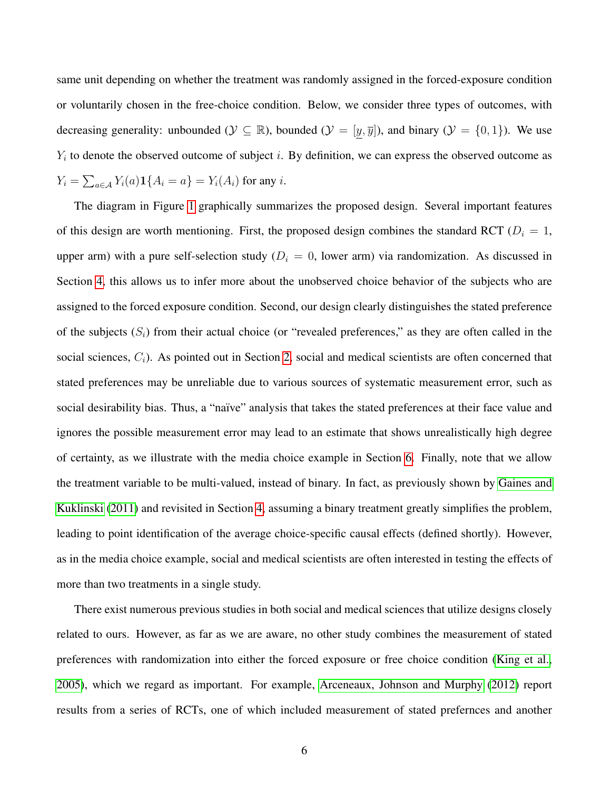same unit depending on whether the treatment was randomly assigned in the forced-exposure condition or voluntarily chosen in the free-choice condition. Below, we consider three types of outcomes, with decreasing generality: unbounded ( $\mathcal{Y} \subseteq \mathbb{R}$ ), bounded ( $\mathcal{Y} = [\underline{y}, \overline{y}]$ ), and binary ( $\mathcal{Y} = \{0, 1\}$ ). We use  $Y_i$  to denote the observed outcome of subject i. By definition, we can express the observed outcome as  $Y_i = \sum_{a \in A} Y_i(a) \mathbf{1} \{ A_i = a \} = Y_i(A_i)$  for any *i*.

The diagram in Figure [1](#page-7-0) graphically summarizes the proposed design. Several important features of this design are worth mentioning. First, the proposed design combines the standard RCT ( $D<sub>i</sub> = 1$ , upper arm) with a pure self-selection study ( $D<sub>i</sub> = 0$ , lower arm) via randomization. As discussed in Section [4,](#page-11-0) this allows us to infer more about the unobserved choice behavior of the subjects who are assigned to the forced exposure condition. Second, our design clearly distinguishes the stated preference of the subjects  $(S_i)$  from their actual choice (or "revealed preferences," as they are often called in the social sciences,  $C_i$ ). As pointed out in Section [2,](#page-2-0) social and medical scientists are often concerned that stated preferences may be unreliable due to various sources of systematic measurement error, such as social desirability bias. Thus, a "naïve" analysis that takes the stated preferences at their face value and ignores the possible measurement error may lead to an estimate that shows unrealistically high degree of certainty, as we illustrate with the media choice example in Section [6.](#page-18-0) Finally, note that we allow the treatment variable to be multi-valued, instead of binary. In fact, as previously shown by [Gaines and](#page-33-0) [Kuklinski](#page-33-0) [\(2011\)](#page-33-0) and revisited in Section [4,](#page-11-0) assuming a binary treatment greatly simplifies the problem, leading to point identification of the average choice-specific causal effects (defined shortly). However, as in the media choice example, social and medical scientists are often interested in testing the effects of more than two treatments in a single study.

There exist numerous previous studies in both social and medical sciences that utilize designs closely related to ours. However, as far as we are aware, no other study combines the measurement of stated preferences with randomization into either the forced exposure or free choice condition [\(King et al.,](#page-34-0) [2005\)](#page-34-0), which we regard as important. For example, [Arceneaux, Johnson and Murphy](#page-32-0) [\(2012\)](#page-32-0) report results from a series of RCTs, one of which included measurement of stated prefernces and another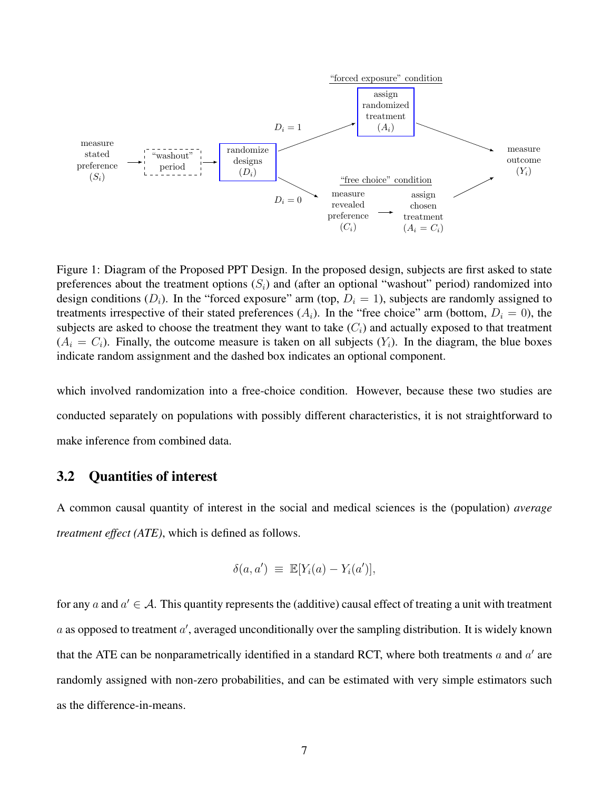

<span id="page-7-0"></span>Figure 1: Diagram of the Proposed PPT Design. In the proposed design, subjects are first asked to state preferences about the treatment options  $(S_i)$  and (after an optional "washout" period) randomized into design conditions  $(D_i)$ . In the "forced exposure" arm (top,  $D_i = 1$ ), subjects are randomly assigned to treatments irrespective of their stated preferences  $(A_i)$ . In the "free choice" arm (bottom,  $D_i = 0$ ), the subjects are asked to choose the treatment they want to take  $(C_i)$  and actually exposed to that treatment  $(A_i = C_i)$ . Finally, the outcome measure is taken on all subjects  $(Y_i)$ . In the diagram, the blue boxes indicate random assignment and the dashed box indicates an optional component.

which involved randomization into a free-choice condition. However, because these two studies are conducted separately on populations with possibly different characteristics, it is not straightforward to make inference from combined data.

#### 3.2 Quantities of interest

A common causal quantity of interest in the social and medical sciences is the (population) *average treatment effect (ATE)*, which is defined as follows.

$$
\delta(a, a') \equiv \mathbb{E}[Y_i(a) - Y_i(a')],
$$

for any a and  $a' \in A$ . This quantity represents the (additive) causal effect of treating a unit with treatment  $a$  as opposed to treatment  $a'$ , averaged unconditionally over the sampling distribution. It is widely known that the ATE can be nonparametrically identified in a standard RCT, where both treatments  $a$  and  $a'$  are randomly assigned with non-zero probabilities, and can be estimated with very simple estimators such as the difference-in-means.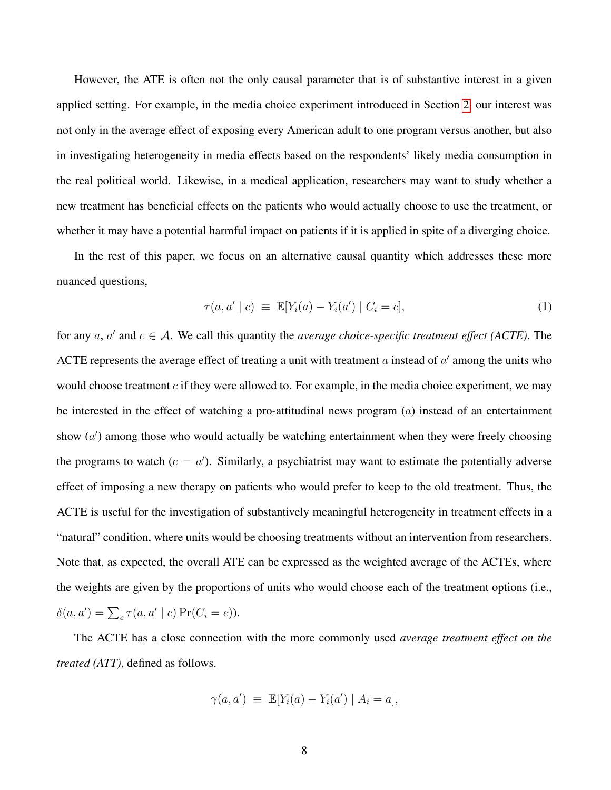However, the ATE is often not the only causal parameter that is of substantive interest in a given applied setting. For example, in the media choice experiment introduced in Section [2,](#page-2-0) our interest was not only in the average effect of exposing every American adult to one program versus another, but also in investigating heterogeneity in media effects based on the respondents' likely media consumption in the real political world. Likewise, in a medical application, researchers may want to study whether a new treatment has beneficial effects on the patients who would actually choose to use the treatment, or whether it may have a potential harmful impact on patients if it is applied in spite of a diverging choice.

In the rest of this paper, we focus on an alternative causal quantity which addresses these more nuanced questions,

$$
\tau(a, a' \mid c) \equiv \mathbb{E}[Y_i(a) - Y_i(a') \mid C_i = c], \tag{1}
$$

for any  $a, a'$  and  $c \in A$ . We call this quantity the *average choice-specific treatment effect (ACTE)*. The ACTE represents the average effect of treating a unit with treatment  $a$  instead of  $a'$  among the units who would choose treatment  $c$  if they were allowed to. For example, in the media choice experiment, we may be interested in the effect of watching a pro-attitudinal news program  $(a)$  instead of an entertainment show  $(a')$  among those who would actually be watching entertainment when they were freely choosing the programs to watch  $(c = a')$ . Similarly, a psychiatrist may want to estimate the potentially adverse effect of imposing a new therapy on patients who would prefer to keep to the old treatment. Thus, the ACTE is useful for the investigation of substantively meaningful heterogeneity in treatment effects in a "natural" condition, where units would be choosing treatments without an intervention from researchers. Note that, as expected, the overall ATE can be expressed as the weighted average of the ACTEs, where the weights are given by the proportions of units who would choose each of the treatment options (i.e.,  $\delta(a, a') = \sum_{c} \tau(a, a' \mid c) \Pr(C_i = c)$ .

The ACTE has a close connection with the more commonly used *average treatment effect on the treated (ATT)*, defined as follows.

$$
\gamma(a, a') \equiv \mathbb{E}[Y_i(a) - Y_i(a') | A_i = a],
$$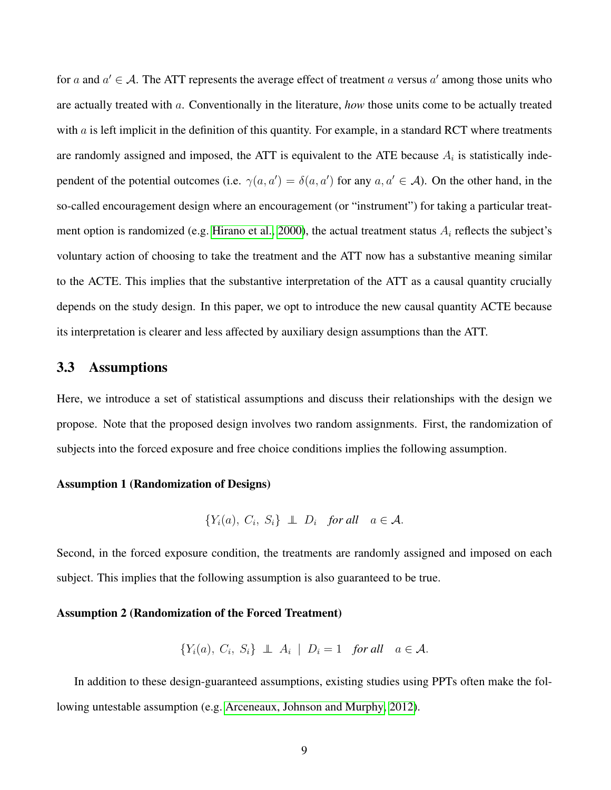for a and  $a' \in A$ . The ATT represents the average effect of treatment a versus  $a'$  among those units who are actually treated with a. Conventionally in the literature, *how* those units come to be actually treated with  $\alpha$  is left implicit in the definition of this quantity. For example, in a standard RCT where treatments are randomly assigned and imposed, the ATT is equivalent to the ATE because  $A_i$  is statistically independent of the potential outcomes (i.e.  $\gamma(a, a') = \delta(a, a')$  for any  $a, a' \in A$ ). On the other hand, in the so-called encouragement design where an encouragement (or "instrument") for taking a particular treat-ment option is randomized (e.g. [Hirano et al., 2000\)](#page-33-6), the actual treatment status  $A_i$  reflects the subject's voluntary action of choosing to take the treatment and the ATT now has a substantive meaning similar to the ACTE. This implies that the substantive interpretation of the ATT as a causal quantity crucially depends on the study design. In this paper, we opt to introduce the new causal quantity ACTE because its interpretation is clearer and less affected by auxiliary design assumptions than the ATT.

#### <span id="page-9-3"></span>3.3 Assumptions

Here, we introduce a set of statistical assumptions and discuss their relationships with the design we propose. Note that the proposed design involves two random assignments. First, the randomization of subjects into the forced exposure and free choice conditions implies the following assumption.

#### Assumption 1 (Randomization of Designs)

<span id="page-9-2"></span><span id="page-9-1"></span>
$$
\{Y_i(a), C_i, S_i\} \perp\!\!\!\perp D_i \quad \text{for all} \quad a \in \mathcal{A}.
$$

Second, in the forced exposure condition, the treatments are randomly assigned and imposed on each subject. This implies that the following assumption is also guaranteed to be true.

#### Assumption 2 (Randomization of the Forced Treatment)

<span id="page-9-0"></span>
$$
\{Y_i(a), C_i, S_i\} \perp \perp A_i \mid D_i = 1 \quad \text{for all} \quad a \in \mathcal{A}.
$$

In addition to these design-guaranteed assumptions, existing studies using PPTs often make the following untestable assumption (e.g. [Arceneaux, Johnson and Murphy, 2012\)](#page-32-0).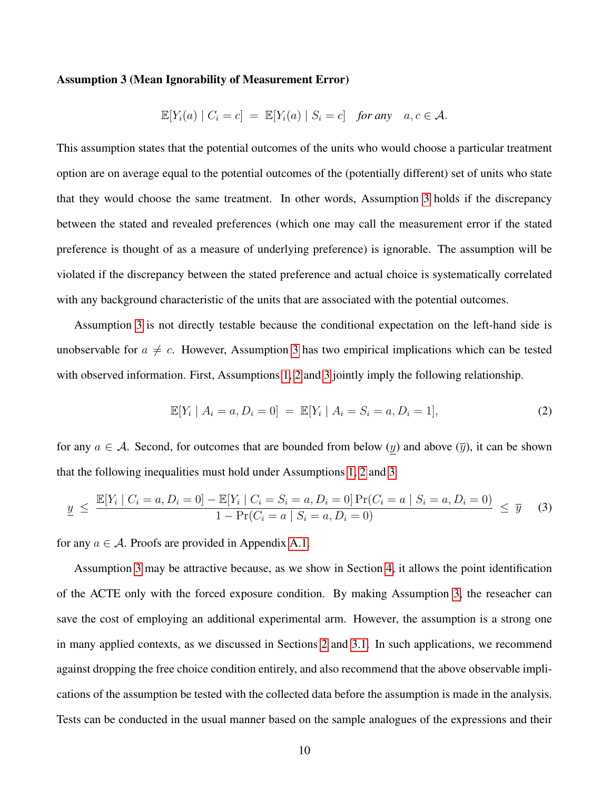#### Assumption 3 (Mean Ignorability of Measurement Error)

$$
\mathbb{E}[Y_i(a) | C_i = c] = \mathbb{E}[Y_i(a) | S_i = c] \text{ for any } a, c \in \mathcal{A}.
$$

This assumption states that the potential outcomes of the units who would choose a particular treatment option are on average equal to the potential outcomes of the (potentially different) set of units who state that they would choose the same treatment. In other words, Assumption [3](#page-9-0) holds if the discrepancy between the stated and revealed preferences (which one may call the measurement error if the stated preference is thought of as a measure of underlying preference) is ignorable. The assumption will be violated if the discrepancy between the stated preference and actual choice is systematically correlated with any background characteristic of the units that are associated with the potential outcomes.

Assumption [3](#page-9-0) is not directly testable because the conditional expectation on the left-hand side is unobservable for  $a \neq c$ . However, Assumption [3](#page-9-0) has two empirical implications which can be tested with observed information. First, Assumptions [1,](#page-9-1) [2](#page-9-2) and [3](#page-9-0) jointly imply the following relationship.

<span id="page-10-0"></span>
$$
\mathbb{E}[Y_i \mid A_i = a, D_i = 0] = \mathbb{E}[Y_i \mid A_i = S_i = a, D_i = 1],
$$
\n(2)

for any  $a \in \mathcal{A}$ . Second, for outcomes that are bounded from below (y) and above (y), it can be shown that the following inequalities must hold under Assumptions [1,](#page-9-1) [2](#page-9-2) and [3.](#page-9-0)

<span id="page-10-1"></span>
$$
\underline{y} \le \frac{\mathbb{E}[Y_i \mid C_i = a, D_i = 0] - \mathbb{E}[Y_i \mid C_i = S_i = a, D_i = 0] \Pr(C_i = a \mid S_i = a, D_i = 0)}{1 - \Pr(C_i = a \mid S_i = a, D_i = 0)} \le \overline{y}
$$
 (3)

for any  $a \in \mathcal{A}$ . Proofs are provided in Appendix [A.1.](#page-26-0)

Assumption [3](#page-9-0) may be attractive because, as we show in Section [4,](#page-11-0) it allows the point identification of the ACTE only with the forced exposure condition. By making Assumption [3,](#page-9-0) the reseacher can save the cost of employing an additional experimental arm. However, the assumption is a strong one in many applied contexts, as we discussed in Sections [2](#page-2-0) and [3.1.](#page-5-0) In such applications, we recommend against dropping the free choice condition entirely, and also recommend that the above observable implications of the assumption be tested with the collected data before the assumption is made in the analysis. Tests can be conducted in the usual manner based on the sample analogues of the expressions and their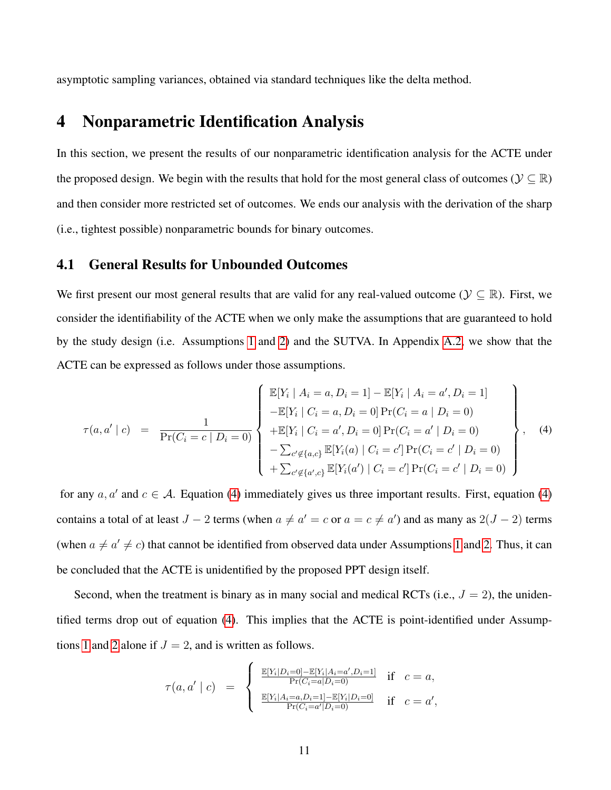<span id="page-11-0"></span>asymptotic sampling variances, obtained via standard techniques like the delta method.

### 4 Nonparametric Identification Analysis

In this section, we present the results of our nonparametric identification analysis for the ACTE under the proposed design. We begin with the results that hold for the most general class of outcomes ( $\mathcal{Y} \subseteq \mathbb{R}$ ) and then consider more restricted set of outcomes. We ends our analysis with the derivation of the sharp (i.e., tightest possible) nonparametric bounds for binary outcomes.

#### <span id="page-11-2"></span>4.1 General Results for Unbounded Outcomes

We first present our most general results that are valid for any real-valued outcome ( $\mathcal{Y} \subseteq \mathbb{R}$ ). First, we consider the identifiability of the ACTE when we only make the assumptions that are guaranteed to hold by the study design (i.e. Assumptions [1](#page-9-1) and [2\)](#page-9-2) and the SUTVA. In Appendix [A.2,](#page-26-1) we show that the ACTE can be expressed as follows under those assumptions.

<span id="page-11-1"></span>
$$
\tau(a, a' \mid c) = \frac{1}{\Pr(C_i = c \mid D_i = 0)} \begin{Bmatrix} \mathbb{E}[Y_i \mid A_i = a, D_i = 1] - \mathbb{E}[Y_i \mid A_i = a', D_i = 1] \\ -\mathbb{E}[Y_i \mid C_i = a, D_i = 0] \Pr(C_i = a \mid D_i = 0) \\ +\mathbb{E}[Y_i \mid C_i = a', D_i = 0] \Pr(C_i = a' \mid D_i = 0) \\ -\sum_{c' \notin \{a, c\}} \mathbb{E}[Y_i(a) \mid C_i = c'] \Pr(C_i = c' \mid D_i = 0) \\ +\sum_{c' \notin \{a', c\}} \mathbb{E}[Y_i(a') \mid C_i = c'] \Pr(C_i = c' \mid D_i = 0) \end{Bmatrix}, \quad (4)
$$

for any  $a, a'$  and  $c \in A$ . Equation [\(4\)](#page-11-1) immediately gives us three important results. First, equation (4) contains a total of at least  $J - 2$  terms (when  $a \neq a' = c$  or  $a = c \neq a'$ ) and as many as  $2(J - 2)$  terms (when  $a \neq a' \neq c$ ) that cannot be identified from observed data under Assumptions [1](#page-9-1) and [2.](#page-9-2) Thus, it can be concluded that the ACTE is unidentified by the proposed PPT design itself.

Second, when the treatment is binary as in many social and medical RCTs (i.e.,  $J = 2$ ), the unidentified terms drop out of equation [\(4\)](#page-11-1). This implies that the ACTE is point-identified under Assump-tions [1](#page-9-1) and [2](#page-9-2) alone if  $J = 2$ , and is written as follows.

$$
\tau(a, a' \mid c) = \begin{cases} \frac{\mathbb{E}[Y_i | D_i = 0] - \mathbb{E}[Y_i | A_i = a', D_i = 1]}{\Pr(C_i = a | D_i = 0)} & \text{if } c = a, \\ \frac{\mathbb{E}[Y_i | A_i = a, D_i = 1] - \mathbb{E}[Y_i | D_i = 0]}{\Pr(C_i = a' | D_i = 0)} & \text{if } c = a', \end{cases}
$$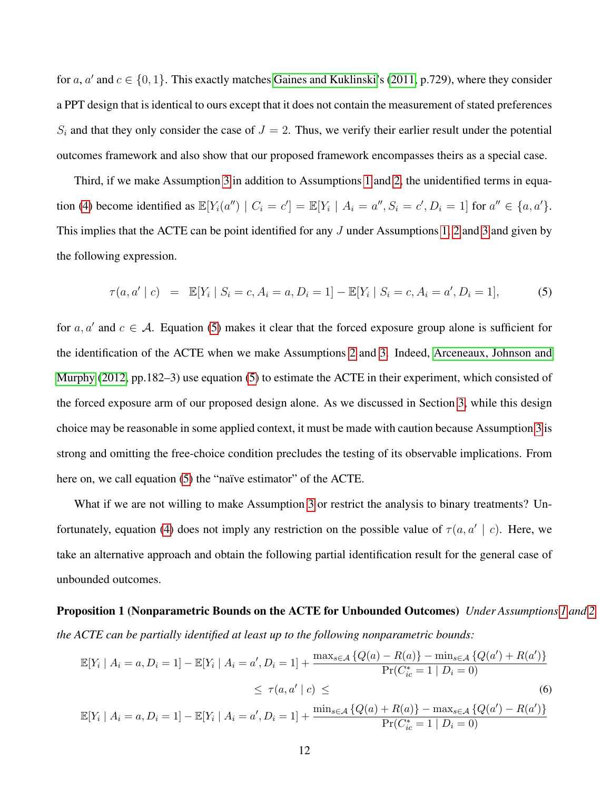for a, a' and  $c \in \{0, 1\}$ . This exactly matches [Gaines and Kuklinski'](#page-33-0)s [\(2011,](#page-33-0) p.729), where they consider a PPT design that is identical to ours except that it does not contain the measurement of stated preferences  $S_i$  and that they only consider the case of  $J = 2$ . Thus, we verify their earlier result under the potential outcomes framework and also show that our proposed framework encompasses theirs as a special case.

Third, if we make Assumption [3](#page-9-0) in addition to Assumptions [1](#page-9-1) and [2,](#page-9-2) the unidentified terms in equa-tion [\(4\)](#page-11-1) become identified as  $\mathbb{E}[Y_i(a'') | C_i = c'] = \mathbb{E}[Y_i | A_i = a'', S_i = c', D_i = 1]$  for  $a'' \in \{a, a'\}.$ This implies that the ACTE can be point identified for any J under Assumptions [1,](#page-9-1) [2](#page-9-2) and [3](#page-9-0) and given by the following expression.

<span id="page-12-0"></span>
$$
\tau(a, a' \mid c) = \mathbb{E}[Y_i \mid S_i = c, A_i = a, D_i = 1] - \mathbb{E}[Y_i \mid S_i = c, A_i = a', D_i = 1],
$$
\n(5)

for  $a, a'$  and  $c \in A$ . Equation [\(5\)](#page-12-0) makes it clear that the forced exposure group alone is sufficient for the identification of the ACTE when we make Assumptions [2](#page-9-2) and [3.](#page-9-0) Indeed, [Arceneaux, Johnson and](#page-32-0) [Murphy](#page-32-0) [\(2012,](#page-32-0) pp.182–3) use equation [\(5\)](#page-12-0) to estimate the ACTE in their experiment, which consisted of the forced exposure arm of our proposed design alone. As we discussed in Section [3,](#page-4-0) while this design choice may be reasonable in some applied context, it must be made with caution because Assumption [3](#page-9-0) is strong and omitting the free-choice condition precludes the testing of its observable implications. From here on, we call equation [\(5\)](#page-12-0) the "naïve estimator" of the ACTE.

What if we are not willing to make Assumption [3](#page-9-0) or restrict the analysis to binary treatments? Un-fortunately, equation [\(4\)](#page-11-1) does not imply any restriction on the possible value of  $\tau(a, a' | c)$ . Here, we take an alternative approach and obtain the following partial identification result for the general case of unbounded outcomes.

# <span id="page-12-2"></span>Proposition 1 (Nonparametric Bounds on the ACTE for Unbounded Outcomes) *Under Assumptions [1](#page-9-1) and [2,](#page-9-2) the ACTE can be partially identified at least up to the following nonparametric bounds:*

<span id="page-12-1"></span>
$$
\mathbb{E}[Y_i | A_i = a, D_i = 1] - \mathbb{E}[Y_i | A_i = a', D_i = 1] + \frac{\max_{s \in \mathcal{A}} \{Q(a) - R(a)\} - \min_{s \in \mathcal{A}} \{Q(a') + R(a')\}}{\Pr(C_{ic}^* = 1 | D_i = 0)}
$$
  
\n
$$
\leq \tau(a, a' | c) \leq \tag{6}
$$
  
\n
$$
\mathbb{E}[Y_i | A_i = a, D_i = 1] - \mathbb{E}[Y_i | A_i = a', D_i = 1] + \frac{\min_{s \in \mathcal{A}} \{Q(a) + R(a)\} - \max_{s \in \mathcal{A}} \{Q(a') - R(a')\}}{\Pr(C_{ic}^* = 1 | D_i = 0)}
$$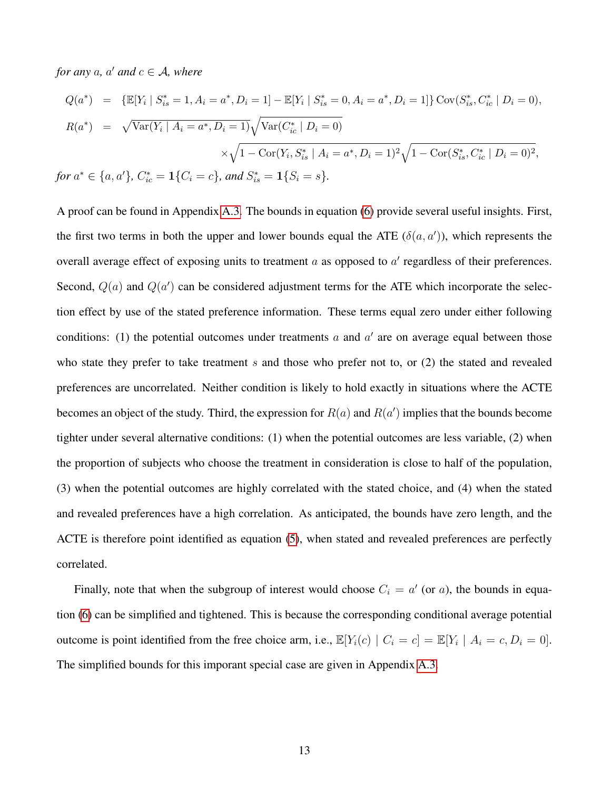*for any*  $a$ *,*  $a'$  *and*  $c \in A$ *, where* 

$$
Q(a^*) = \{ \mathbb{E}[Y_i \mid S_{is}^* = 1, A_i = a^*, D_i = 1] - \mathbb{E}[Y_i \mid S_{is}^* = 0, A_i = a^*, D_i = 1] \} \operatorname{Cov}(S_{is}^*, C_{ic}^* \mid D_i = 0),
$$
  

$$
R(a^*) = \sqrt{\operatorname{Var}(Y_i \mid A_i = a^*, D_i = 1)} \sqrt{\operatorname{Var}(C_{ic}^* \mid D_i = 0)}
$$
  

$$
\times \sqrt{1 - \operatorname{Cor}(Y_i, S_{is}^* \mid A_i = a^*, D_i = 1)^2} \sqrt{1 - \operatorname{Cor}(S_{is}^*, C_{ic}^* \mid D_i = 0)^2},
$$
  
for  $a^* \in \{a, a'\}, C_{ic}^* = 1\{C_i = c\},$  and  $S_{is}^* = 1\{S_i = s\}.$ 

A proof can be found in Appendix [A.3.](#page-27-0) The bounds in equation [\(6\)](#page-12-1) provide several useful insights. First, the first two terms in both the upper and lower bounds equal the ATE  $(\delta(a, a'))$ , which represents the overall average effect of exposing units to treatment  $a$  as opposed to  $a'$  regardless of their preferences. Second,  $Q(a)$  and  $Q(a')$  can be considered adjustment terms for the ATE which incorporate the selection effect by use of the stated preference information. These terms equal zero under either following conditions: (1) the potential outcomes under treatments  $a$  and  $a'$  are on average equal between those who state they prefer to take treatment s and those who prefer not to, or  $(2)$  the stated and revealed preferences are uncorrelated. Neither condition is likely to hold exactly in situations where the ACTE becomes an object of the study. Third, the expression for  $R(a)$  and  $R(a')$  implies that the bounds become tighter under several alternative conditions: (1) when the potential outcomes are less variable, (2) when the proportion of subjects who choose the treatment in consideration is close to half of the population, (3) when the potential outcomes are highly correlated with the stated choice, and (4) when the stated and revealed preferences have a high correlation. As anticipated, the bounds have zero length, and the ACTE is therefore point identified as equation [\(5\)](#page-12-0), when stated and revealed preferences are perfectly correlated.

Finally, note that when the subgroup of interest would choose  $C_i = a'$  (or a), the bounds in equation [\(6\)](#page-12-1) can be simplified and tightened. This is because the corresponding conditional average potential outcome is point identified from the free choice arm, i.e.,  $\mathbb{E}[Y_i(c) | C_i = c] = \mathbb{E}[Y_i | A_i = c, D_i = 0].$ The simplified bounds for this imporant special case are given in Appendix [A.3.](#page-27-0)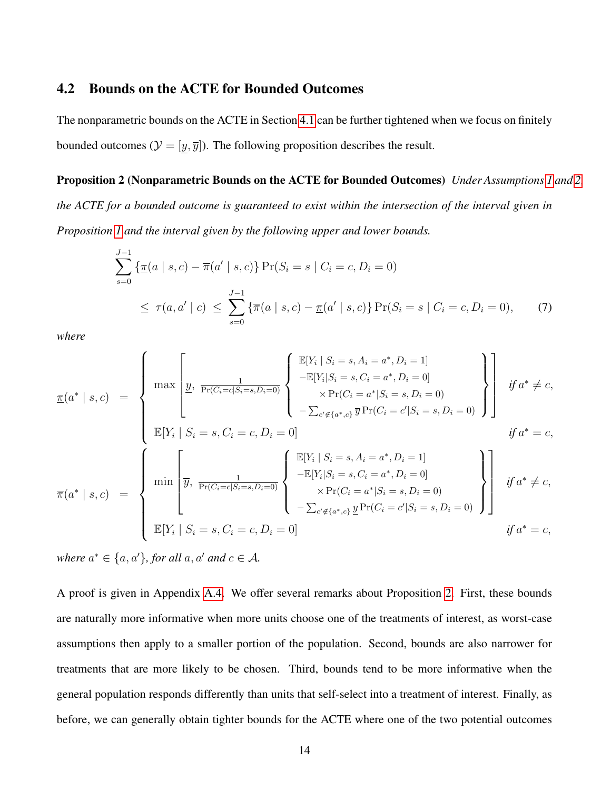#### 4.2 Bounds on the ACTE for Bounded Outcomes

The nonparametric bounds on the ACTE in Section [4.1](#page-11-2) can be further tightened when we focus on finitely bounded outcomes ( $\mathcal{Y} = [y, \overline{y}]$ ). The following proposition describes the result.

#### Proposition 2 (Nonparametric Bounds on the ACTE for Bounded Outcomes) *Under Assumptions [1](#page-9-1) and [2,](#page-9-2)*

*the ACTE for a bounded outcome is guaranteed to exist within the intersection of the interval given in Proposition [1](#page-12-2) and the interval given by the following upper and lower bounds.*

<span id="page-14-1"></span><span id="page-14-0"></span>
$$
\sum_{s=0}^{J-1} \left\{ \underline{\pi}(a \mid s, c) - \overline{\pi}(a' \mid s, c) \right\} \Pr(S_i = s \mid C_i = c, D_i = 0)
$$
\n
$$
\leq \tau(a, a' \mid c) \leq \sum_{s=0}^{J-1} \left\{ \overline{\pi}(a \mid s, c) - \underline{\pi}(a' \mid s, c) \right\} \Pr(S_i = s \mid C_i = c, D_i = 0), \tag{7}
$$

*where*

$$
\overline{\pi}(a^* \mid s, c) = \begin{cases}\n\max \left[ \underline{y}, \frac{1}{\Pr(C_i = c | S_i = s, D_i = 0)} \left\{ \begin{array}{c}\n\mathbb{E}[Y_i \mid S_i = s, A_i = a^*, D_i = 1] \\
-\mathbb{E}[Y_i | S_i = s, C_i = a^*, D_i = 0] \\
\times \Pr(C_i = a^* | S_i = s, D_i = 0)\n\end{array}\right\}\right] & \text{if } a^* \neq c, \\
\mathbb{E}[Y_i \mid S_i = s, C_i = c, D_i = 0] & \text{if } a^* = c,\n\end{cases}
$$
\n
$$
\overline{\pi}(a^* \mid s, c) = \begin{cases}\n\min \left[ \overline{y}, \frac{1}{\Pr(C_i = c | S_i = s, D_i = 0)} \left\{ \begin{array}{c}\n\mathbb{E}[Y_i \mid S_i = s, A_i = a^*, D_i = 1] \\
-\mathbb{E}[Y_i | S_i = s, C_i = a^*, D_i = 0] \\
\times \Pr(C_i = a^* | S_i = s, D_i = 0)\n\end{array}\right\}\right & \text{if } a^* \neq c, \\
\mathbb{E}[Y_i \mid S_i = s, C_i = c, D_i = 0]\n\end{cases}
$$
\n
$$
\mathbb{E}[Y_i \mid S_i = s, C_i = c, D_i = 0] & \text{if } a^* \neq c,\n\end{cases}
$$

*where*  $a^* \in \{a, a'\}$ , for all  $a, a'$  and  $c \in A$ .

A proof is given in Appendix [A.4.](#page-29-0) We offer several remarks about Proposition [2.](#page-14-0) First, these bounds are naturally more informative when more units choose one of the treatments of interest, as worst-case assumptions then apply to a smaller portion of the population. Second, bounds are also narrower for treatments that are more likely to be chosen. Third, bounds tend to be more informative when the general population responds differently than units that self-select into a treatment of interest. Finally, as before, we can generally obtain tighter bounds for the ACTE where one of the two potential outcomes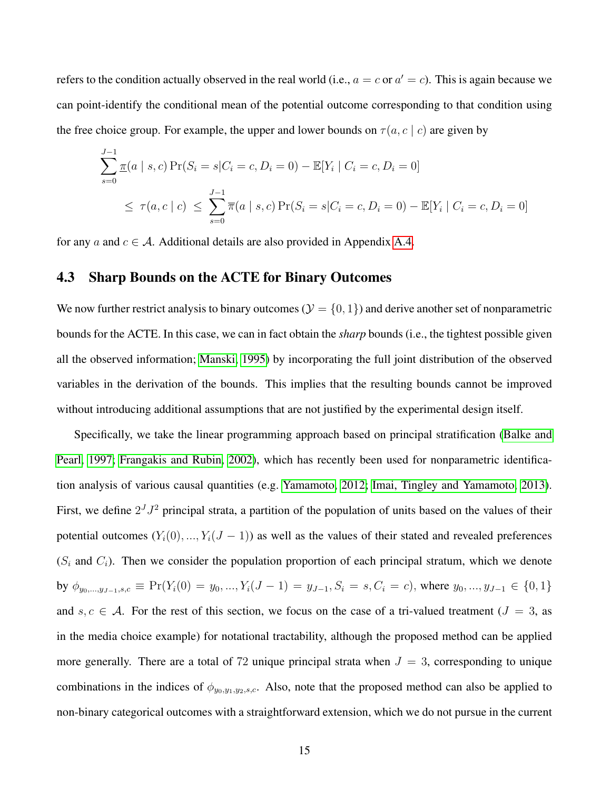refers to the condition actually observed in the real world (i.e.,  $a = c$  or  $a' = c$ ). This is again because we can point-identify the conditional mean of the potential outcome corresponding to that condition using the free choice group. For example, the upper and lower bounds on  $\tau(a, c \mid c)$  are given by

$$
\sum_{s=0}^{J-1} \pi(a \mid s, c) \Pr(S_i = s | C_i = c, D_i = 0) - \mathbb{E}[Y_i \mid C_i = c, D_i = 0]
$$
  

$$
\leq \tau(a, c \mid c) \leq \sum_{s=0}^{J-1} \overline{\pi}(a \mid s, c) \Pr(S_i = s | C_i = c, D_i = 0) - \mathbb{E}[Y_i \mid C_i = c, D_i = 0]
$$

<span id="page-15-0"></span>for any a and  $c \in A$ . Additional details are also provided in Appendix [A.4.](#page-29-0)

#### 4.3 Sharp Bounds on the ACTE for Binary Outcomes

We now further restrict analysis to binary outcomes ( $\mathcal{Y} = \{0, 1\}$ ) and derive another set of nonparametric bounds for the ACTE. In this case, we can in fact obtain the *sharp* bounds (i.e., the tightest possible given all the observed information; [Manski, 1995\)](#page-34-9) by incorporating the full joint distribution of the observed variables in the derivation of the bounds. This implies that the resulting bounds cannot be improved without introducing additional assumptions that are not justified by the experimental design itself.

Specifically, we take the linear programming approach based on principal stratification [\(Balke and](#page-32-4) [Pearl, 1997;](#page-32-4) [Frangakis and Rubin, 2002\)](#page-33-7), which has recently been used for nonparametric identification analysis of various causal quantities (e.g. [Yamamoto, 2012;](#page-35-3) [Imai, Tingley and Yamamoto, 2013\)](#page-33-8). First, we define  $2<sup>J</sup> J<sup>2</sup>$  principal strata, a partition of the population of units based on the values of their potential outcomes  $(Y_i(0), ..., Y_i(J-1))$  as well as the values of their stated and revealed preferences  $(S<sub>i</sub>$  and  $C<sub>i</sub>)$ . Then we consider the population proportion of each principal stratum, which we denote by  $\phi_{y_0,\dots,y_{J-1},s,c} \equiv Pr(Y_i(0) = y_0, ..., Y_i(J-1) = y_{J-1}, S_i = s, C_i = c)$ , where  $y_0, ..., y_{J-1} \in \{0,1\}$ and  $s, c \in A$ . For the rest of this section, we focus on the case of a tri-valued treatment ( $J = 3$ , as in the media choice example) for notational tractability, although the proposed method can be applied more generally. There are a total of 72 unique principal strata when  $J = 3$ , corresponding to unique combinations in the indices of  $\phi_{y_0,y_1,y_2,s,c}$ . Also, note that the proposed method can also be applied to non-binary categorical outcomes with a straightforward extension, which we do not pursue in the current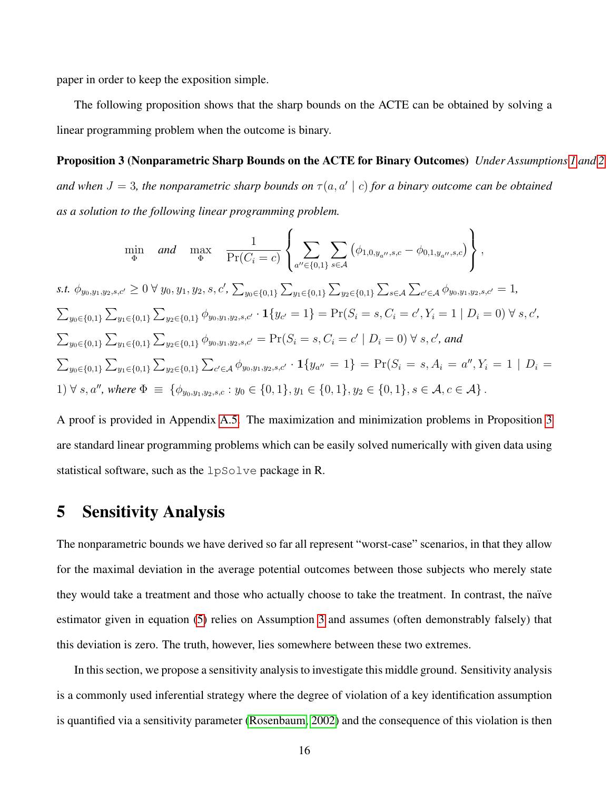paper in order to keep the exposition simple.

<span id="page-16-1"></span>The following proposition shows that the sharp bounds on the ACTE can be obtained by solving a linear programming problem when the outcome is binary.

Proposition 3 (Nonparametric Sharp Bounds on the ACTE for Binary Outcomes) *Under Assumptions [1](#page-9-1) and [2](#page-9-2)* and when  $J = 3$ , the nonparametric sharp bounds on  $\tau(a, a' | c)$  for a binary outcome can be obtained *as a solution to the following linear programming problem.*

$$
\min_{\Phi} \quad \text{and} \quad \max_{\Phi} \quad \frac{1}{\Pr(C_i = c)} \left\{ \sum_{a'' \in \{0,1\}} \sum_{s \in \mathcal{A}} \left( \phi_{1,0,y_{a''},s,c} - \phi_{0,1,y_{a''},s,c} \right) \right\},
$$
\n
$$
s.t. \quad \phi_{y_0,y_1,y_2,s,c'} \ge 0 \,\forall \, y_0, y_1, y_2, s, c', \sum_{y_0 \in \{0,1\}} \sum_{y_1 \in \{0,1\}} \sum_{y_2 \in \{0,1\}} \sum_{y_2 \in \{0,1\}} \sum_{s \in \mathcal{A}} \sum_{c' \in \mathcal{A}} \phi_{y_0,y_1,y_2,s,c'} = 1,
$$
\n
$$
\sum_{y_0 \in \{0,1\}} \sum_{y_1 \in \{0,1\}} \sum_{y_2 \in \{0,1\}} \phi_{y_0,y_1,y_2,s,c'} \cdot \mathbf{1} \{y_{c'} = 1\} = \Pr(S_i = s, C_i = c', Y_i = 1 \mid D_i = 0) \,\forall \, s, c',
$$
\n
$$
\sum_{y_0 \in \{0,1\}} \sum_{y_1 \in \{0,1\}} \sum_{y_2 \in \{0,1\}} \phi_{y_0,y_1,y_2,s,c'} = \Pr(S_i = s, C_i = c' \mid D_i = 0) \,\forall \, s, c', \, \text{and}
$$
\n
$$
\sum_{y_0 \in \{0,1\}} \sum_{y_1 \in \{0,1\}} \sum_{y_2 \in \{0,1\}} \sum_{c' \in \mathcal{A}} \phi_{y_0,y_1,y_2,s,c'} \cdot \mathbf{1} \{y_{a''} = 1\} = \Pr(S_i = s, A_i = a'', Y_i = 1 \mid D_i = 1) \,\forall \, s, a'', \, \text{where } \Phi \equiv \{\phi_{y_0,y_1,y_2,s,c} : y_0 \in \{0,1\}, y_1 \in \{0,1\}, y_2 \in \{0,1\}, s \in \mathcal{A}, c \in \mathcal{A}\}.
$$

A proof is provided in Appendix [A.5.](#page-30-0) The maximization and minimization problems in Proposition [3](#page-16-1) are standard linear programming problems which can be easily solved numerically with given data using statistical software, such as the lpSolve package in R.

# <span id="page-16-0"></span>5 Sensitivity Analysis

The nonparametric bounds we have derived so far all represent "worst-case" scenarios, in that they allow for the maximal deviation in the average potential outcomes between those subjects who merely state they would take a treatment and those who actually choose to take the treatment. In contrast, the na¨ıve estimator given in equation [\(5\)](#page-12-0) relies on Assumption [3](#page-9-0) and assumes (often demonstrably falsely) that this deviation is zero. The truth, however, lies somewhere between these two extremes.

In this section, we propose a sensitivity analysis to investigate this middle ground. Sensitivity analysis is a commonly used inferential strategy where the degree of violation of a key identification assumption is quantified via a sensitivity parameter [\(Rosenbaum, 2002\)](#page-34-10) and the consequence of this violation is then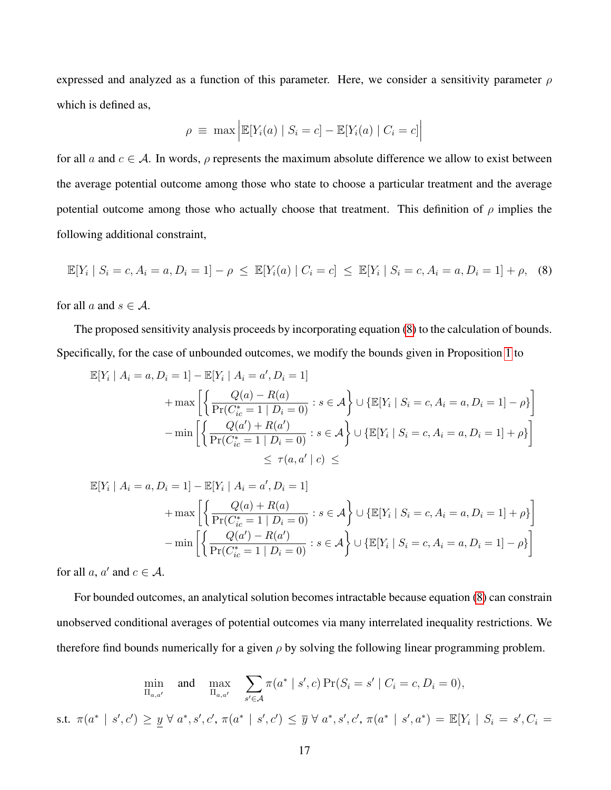expressed and analyzed as a function of this parameter. Here, we consider a sensitivity parameter  $\rho$ which is defined as,

<span id="page-17-0"></span>
$$
\rho \equiv \max \left| \mathbb{E}[Y_i(a) | S_i = c] - \mathbb{E}[Y_i(a) | C_i = c] \right|
$$

for all a and  $c \in A$ . In words,  $\rho$  represents the maximum absolute difference we allow to exist between the average potential outcome among those who state to choose a particular treatment and the average potential outcome among those who actually choose that treatment. This definition of  $\rho$  implies the following additional constraint,

$$
\mathbb{E}[Y_i | S_i = c, A_i = a, D_i = 1] - \rho \le \mathbb{E}[Y_i(a) | C_i = c] \le \mathbb{E}[Y_i | S_i = c, A_i = a, D_i = 1] + \rho, \quad (8)
$$

for all a and  $s \in A$ .

The proposed sensitivity analysis proceeds by incorporating equation [\(8\)](#page-17-0) to the calculation of bounds. Specifically, for the case of unbounded outcomes, we modify the bounds given in Proposition [1](#page-12-2) to

$$
\mathbb{E}[Y_i | A_i = a, D_i = 1] - \mathbb{E}[Y_i | A_i = a', D_i = 1]
$$
  
+ 
$$
\max \left[ \left\{ \frac{Q(a) - R(a)}{\Pr(C_{ic}^* = 1 | D_i = 0)} : s \in \mathcal{A} \right\} \cup \{ \mathbb{E}[Y_i | S_i = c, A_i = a, D_i = 1] - \rho \} \right]
$$
  
- 
$$
\min \left[ \left\{ \frac{Q(a') + R(a')}{\Pr(C_{ic}^* = 1 | D_i = 0)} : s \in \mathcal{A} \right\} \cup \{ \mathbb{E}[Y_i | S_i = c, A_i = a, D_i = 1] + \rho \} \right]
$$
  

$$
\leq \tau(a, a' | c) \leq
$$

$$
\mathbb{E}[Y_i | A_i = a, D_i = 1] - \mathbb{E}[Y_i | A_i = a', D_i = 1]
$$
  
+ 
$$
\max \left[ \left\{ \frac{Q(a) + R(a)}{\Pr(C_{ic}^* = 1 | D_i = 0)} : s \in \mathcal{A} \right\} \cup \left\{ \mathbb{E}[Y_i | S_i = c, A_i = a, D_i = 1] + \rho \right\} \right]
$$
  
- 
$$
\min \left[ \left\{ \frac{Q(a') - R(a')}{\Pr(C_{ic}^* = 1 | D_i = 0)} : s \in \mathcal{A} \right\} \cup \left\{ \mathbb{E}[Y_i | S_i = c, A_i = a, D_i = 1] - \rho \right\} \right]
$$

for all  $a, a'$  and  $c \in A$ .

For bounded outcomes, an analytical solution becomes intractable because equation [\(8\)](#page-17-0) can constrain unobserved conditional averages of potential outcomes via many interrelated inequality restrictions. We therefore find bounds numerically for a given  $\rho$  by solving the following linear programming problem.

$$
\min_{\Pi_{a,a'}} \quad \text{and} \quad \max_{\Pi_{a,a'}} \quad \sum_{s' \in \mathcal{A}} \pi(a^* \mid s', c) \Pr(S_i = s' \mid C_i = c, D_i = 0),
$$
\n
$$
\text{s.t. } \pi(a^* \mid s', c') \geq \underline{y} \; \forall \; a^*, s', c', \pi(a^* \mid s', c') \leq \overline{y} \; \forall \; a^*, s', c', \pi(a^* \mid s', a^*) = \mathbb{E}[Y_i \mid S_i = s', C_i = 0],
$$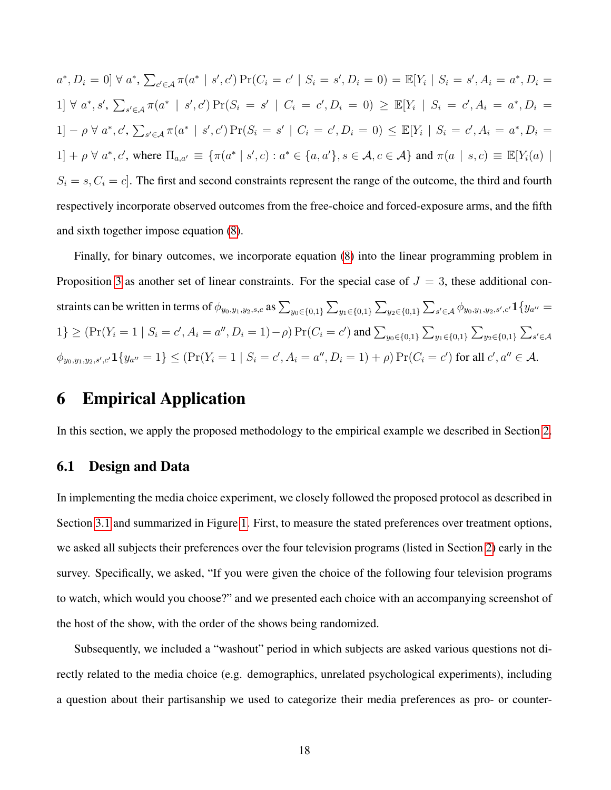$a^*$ ,  $D_i = 0$   $\forall a^*$ ,  $\sum_{c' \in A} \pi(a^* \mid s', c')$   $\Pr(C_i = c' \mid S_i = s', D_i = 0) = \mathbb{E}[Y_i \mid S_i = s', A_i = a^*, D_i = 0]$  $1] \forall a^*, s', \sum_{s' \in A} \pi(a^* \mid s', c') \Pr(S_i = s' \mid C_i = c', D_i = 0) \geq \mathbb{E}[Y_i \mid S_i = c', A_i = a^*, D_i = 0]$ 1] -  $\rho \forall a^*, c', \sum_{s' \in A} \pi(a^* \mid s', c') \Pr(S_i = s' \mid C_i = c', D_i = 0) \leq \mathbb{E}[Y_i \mid S_i = c', A_i = a^*, D_i = 0]$  $[1] + \rho \ \forall \ a^*, c',$  where  $\Pi_{a,a'} \equiv \{\pi(a^* \mid s', c) : a^* \in \{a, a'\}, s \in \mathcal{A}, c \in \mathcal{A}\}\$  and  $\pi(a \mid s, c) \equiv \mathbb{E}[Y_i(a) \mid s', c]$  $S_i = s, C_i = c$ . The first and second constraints represent the range of the outcome, the third and fourth respectively incorporate observed outcomes from the free-choice and forced-exposure arms, and the fifth and sixth together impose equation [\(8\)](#page-17-0).

Finally, for binary outcomes, we incorporate equation [\(8\)](#page-17-0) into the linear programming problem in Proposition [3](#page-16-1) as another set of linear constraints. For the special case of  $J = 3$ , these additional constraints can be written in terms of  $\phi_{y_0,y_1,y_2,s,c}$  as  $\sum_{y_0\in\{0,1\}}\sum_{y_1\in\{0,1\}}\sum_{y_2\in\{0,1\}}\sum_{s'\in\mathcal{A}}\phi_{y_0,y_1,y_2,s',c'}\mathbf{1}\{y_{a''}=$  $1\} \geq (\Pr(Y_i = 1 \mid S_i = c', A_i = a'', D_i = 1) - \rho) \Pr(C_i = c') \text{ and } \sum_{y_0 \in \{0,1\}} \sum_{y_1 \in \{0,1\}} \sum_{y_2 \in \{0,1\}} \sum_{s' \in A}$  $\phi_{y_0,y_1,y_2,s',c'}\mathbf{1}\{y_{a''}=1\} \leq (\Pr(Y_i=1 \mid S_i=c', A_i=a'', D_i=1)+\rho) \Pr(C_i=c')$  for all  $c',a'' \in \mathcal{A}$ .

# <span id="page-18-0"></span>6 Empirical Application

In this section, we apply the proposed methodology to the empirical example we described in Section [2.](#page-2-0)

#### 6.1 Design and Data

In implementing the media choice experiment, we closely followed the proposed protocol as described in Section [3.1](#page-5-0) and summarized in Figure [1.](#page-7-0) First, to measure the stated preferences over treatment options, we asked all subjects their preferences over the four television programs (listed in Section [2\)](#page-2-0) early in the survey. Specifically, we asked, "If you were given the choice of the following four television programs to watch, which would you choose?" and we presented each choice with an accompanying screenshot of the host of the show, with the order of the shows being randomized.

Subsequently, we included a "washout" period in which subjects are asked various questions not directly related to the media choice (e.g. demographics, unrelated psychological experiments), including a question about their partisanship we used to categorize their media preferences as pro- or counter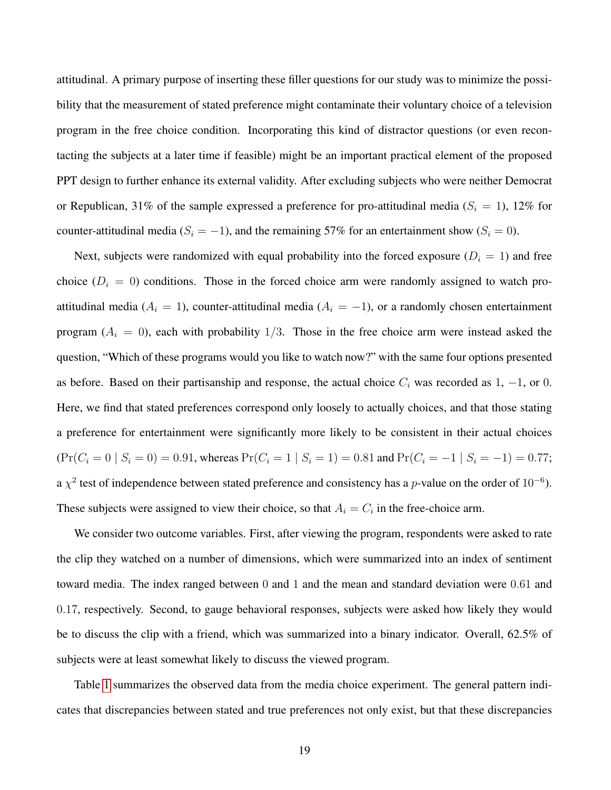attitudinal. A primary purpose of inserting these filler questions for our study was to minimize the possibility that the measurement of stated preference might contaminate their voluntary choice of a television program in the free choice condition. Incorporating this kind of distractor questions (or even recontacting the subjects at a later time if feasible) might be an important practical element of the proposed PPT design to further enhance its external validity. After excluding subjects who were neither Democrat or Republican, 31% of the sample expressed a preference for pro-attitudinal media ( $S_i = 1$ ), 12% for counter-attitudinal media ( $S_i = -1$ ), and the remaining 57% for an entertainment show ( $S_i = 0$ ).

Next, subjects were randomized with equal probability into the forced exposure ( $D<sub>i</sub> = 1$ ) and free choice ( $D<sub>i</sub> = 0$ ) conditions. Those in the forced choice arm were randomly assigned to watch proattitudinal media ( $A_i = 1$ ), counter-attitudinal media ( $A_i = -1$ ), or a randomly chosen entertainment program  $(A_i = 0)$ , each with probability 1/3. Those in the free choice arm were instead asked the question, "Which of these programs would you like to watch now?" with the same four options presented as before. Based on their partisanship and response, the actual choice  $C_i$  was recorded as 1, -1, or 0. Here, we find that stated preferences correspond only loosely to actually choices, and that those stating a preference for entertainment were significantly more likely to be consistent in their actual choices  $(\Pr(C_i = 0 \mid S_i = 0) = 0.91$ , whereas  $\Pr(C_i = 1 \mid S_i = 1) = 0.81$  and  $\Pr(C_i = -1 \mid S_i = -1) = 0.77$ ; a  $\chi^2$  test of independence between stated preference and consistency has a p-value on the order of 10<sup>-6</sup>). These subjects were assigned to view their choice, so that  $A_i = C_i$  in the free-choice arm.

We consider two outcome variables. First, after viewing the program, respondents were asked to rate the clip they watched on a number of dimensions, which were summarized into an index of sentiment toward media. The index ranged between 0 and 1 and the mean and standard deviation were 0.61 and 0.17, respectively. Second, to gauge behavioral responses, subjects were asked how likely they would be to discuss the clip with a friend, which was summarized into a binary indicator. Overall, 62.5% of subjects were at least somewhat likely to discuss the viewed program.

Table [1](#page-20-0) summarizes the observed data from the media choice experiment. The general pattern indicates that discrepancies between stated and true preferences not only exist, but that these discrepancies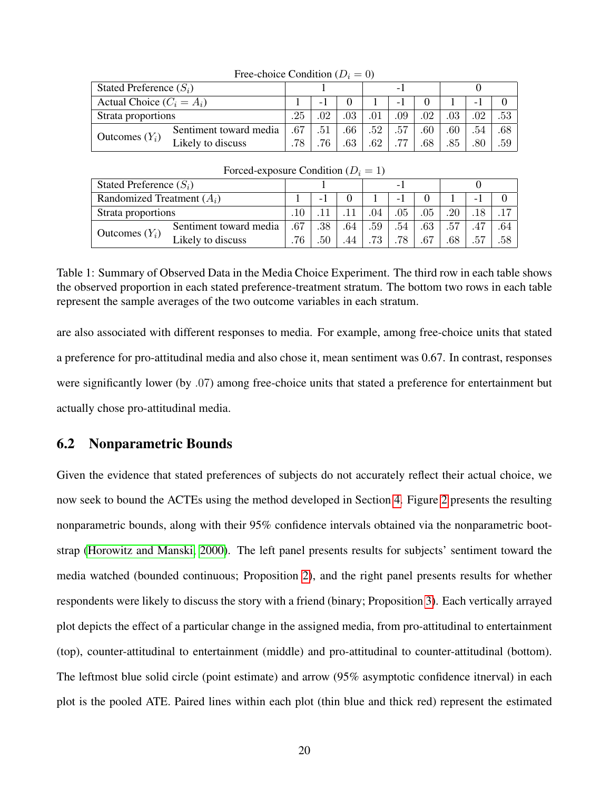| Tree-choice Condition $(D_i = 0)$ |                        |     |     |     |     |     |     |     |     |     |
|-----------------------------------|------------------------|-----|-----|-----|-----|-----|-----|-----|-----|-----|
| Stated Preference $(S_i)$         |                        |     |     |     | ۰   |     |     |     |     |     |
| Actual Choice $(C_i = A_i)$       |                        |     |     |     |     |     |     |     |     |     |
| Strata proportions                |                        | .25 | .02 | 03  |     | .09 | .02 | .03 | .02 | .53 |
| Outcomes $(Y_i)$                  | Sentiment toward media | .67 | .51 | .66 | .52 | .57 | .60 | .60 | .54 | .68 |
|                                   | Likely to discuss      | .78 |     | 63  | .62 |     | .68 | .85 | .80 | .59 |

 $F_{\text{reco}}$ -choice Condition  $(D = 0)$ 

| Forced-exposure Condition $(D_i = 1)$ |                        |     |         |     |     |     |     |     |     |     |
|---------------------------------------|------------------------|-----|---------|-----|-----|-----|-----|-----|-----|-----|
| Stated Preference $(S_i)$             |                        |     |         |     | -   |     |     |     |     |     |
| Randomized Treatment $(A_i)$          |                        |     | - 1     |     |     | - 1 |     |     | - 1 |     |
| Strata proportions                    |                        |     |         |     | .04 | .05 | .05 | .20 |     |     |
| Outcomes $(Y_i)$                      | Sentiment toward media | .67 | .38     | .64 | .59 | .54 | .63 | .57 | .47 | .64 |
|                                       | Likely to discuss      | .76 | $.50\,$ | .44 | .73 | .78 | .67 | .68 | .57 | .58 |

<span id="page-20-0"></span>Table 1: Summary of Observed Data in the Media Choice Experiment. The third row in each table shows the observed proportion in each stated preference-treatment stratum. The bottom two rows in each table represent the sample averages of the two outcome variables in each stratum.

are also associated with different responses to media. For example, among free-choice units that stated a preference for pro-attitudinal media and also chose it, mean sentiment was 0.67. In contrast, responses were significantly lower (by .07) among free-choice units that stated a preference for entertainment but actually chose pro-attitudinal media.

#### 6.2 Nonparametric Bounds

Given the evidence that stated preferences of subjects do not accurately reflect their actual choice, we now seek to bound the ACTEs using the method developed in Section [4.](#page-11-0) Figure [2](#page-21-0) presents the resulting nonparametric bounds, along with their 95% confidence intervals obtained via the nonparametric bootstrap [\(Horowitz and Manski, 2000\)](#page-33-9). The left panel presents results for subjects' sentiment toward the media watched (bounded continuous; Proposition [2\)](#page-14-0), and the right panel presents results for whether respondents were likely to discuss the story with a friend (binary; Proposition [3\)](#page-16-1). Each vertically arrayed plot depicts the effect of a particular change in the assigned media, from pro-attitudinal to entertainment (top), counter-attitudinal to entertainment (middle) and pro-attitudinal to counter-attitudinal (bottom). The leftmost blue solid circle (point estimate) and arrow (95% asymptotic confidence itnerval) in each plot is the pooled ATE. Paired lines within each plot (thin blue and thick red) represent the estimated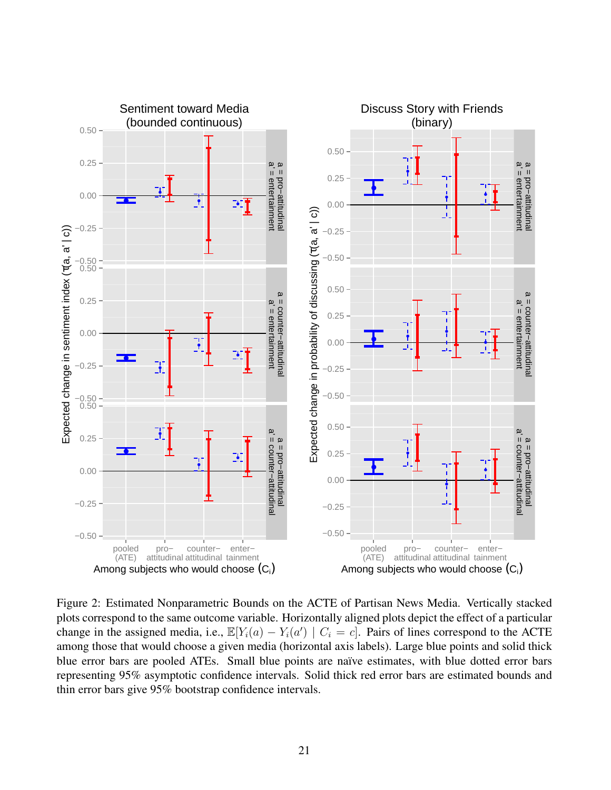

<span id="page-21-0"></span>Figure 2: Estimated Nonparametric Bounds on the ACTE of Partisan News Media. Vertically stacked plots correspond to the same outcome variable. Horizontally aligned plots depict the effect of a particular change in the assigned media, i.e.,  $\mathbb{E}[Y_i(a) - Y_i(a') \mid C_i = c]$ . Pairs of lines correspond to the ACTE among those that would choose a given media (horizontal axis labels). Large blue points and solid thick blue error bars are pooled ATEs. Small blue points are naïve estimates, with blue dotted error bars representing 95% asymptotic confidence intervals. Solid thick red error bars are estimated bounds and thin error bars give 95% bootstrap confidence intervals.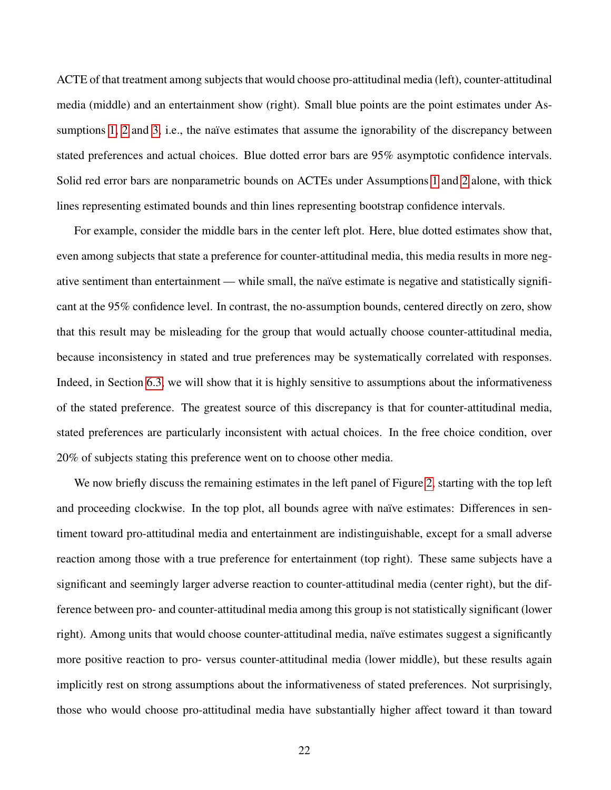ACTE of that treatment among subjects that would choose pro-attitudinal media (left), counter-attitudinal media (middle) and an entertainment show (right). Small blue points are the point estimates under As-sumptions [1,](#page-9-1) [2](#page-9-2) and [3,](#page-9-0) i.e., the naïve estimates that assume the ignorability of the discrepancy between stated preferences and actual choices. Blue dotted error bars are 95% asymptotic confidence intervals. Solid red error bars are nonparametric bounds on ACTEs under Assumptions [1](#page-9-1) and [2](#page-9-2) alone, with thick lines representing estimated bounds and thin lines representing bootstrap confidence intervals.

For example, consider the middle bars in the center left plot. Here, blue dotted estimates show that, even among subjects that state a preference for counter-attitudinal media, this media results in more negative sentiment than entertainment — while small, the naïve estimate is negative and statistically significant at the 95% confidence level. In contrast, the no-assumption bounds, centered directly on zero, show that this result may be misleading for the group that would actually choose counter-attitudinal media, because inconsistency in stated and true preferences may be systematically correlated with responses. Indeed, in Section [6.3,](#page-23-0) we will show that it is highly sensitive to assumptions about the informativeness of the stated preference. The greatest source of this discrepancy is that for counter-attitudinal media, stated preferences are particularly inconsistent with actual choices. In the free choice condition, over 20% of subjects stating this preference went on to choose other media.

We now briefly discuss the remaining estimates in the left panel of Figure [2,](#page-21-0) starting with the top left and proceeding clockwise. In the top plot, all bounds agree with naïve estimates: Differences in sentiment toward pro-attitudinal media and entertainment are indistinguishable, except for a small adverse reaction among those with a true preference for entertainment (top right). These same subjects have a significant and seemingly larger adverse reaction to counter-attitudinal media (center right), but the difference between pro- and counter-attitudinal media among this group is not statistically significant (lower right). Among units that would choose counter-attitudinal media, naïve estimates suggest a significantly more positive reaction to pro- versus counter-attitudinal media (lower middle), but these results again implicitly rest on strong assumptions about the informativeness of stated preferences. Not surprisingly, those who would choose pro-attitudinal media have substantially higher affect toward it than toward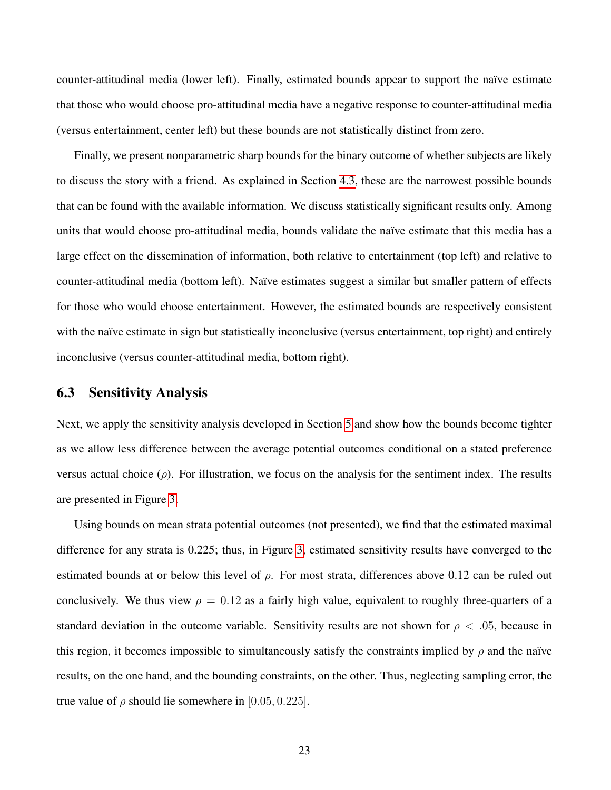counter-attitudinal media (lower left). Finally, estimated bounds appear to support the naïve estimate that those who would choose pro-attitudinal media have a negative response to counter-attitudinal media (versus entertainment, center left) but these bounds are not statistically distinct from zero.

Finally, we present nonparametric sharp bounds for the binary outcome of whether subjects are likely to discuss the story with a friend. As explained in Section [4.3,](#page-15-0) these are the narrowest possible bounds that can be found with the available information. We discuss statistically significant results only. Among units that would choose pro-attitudinal media, bounds validate the naïve estimate that this media has a large effect on the dissemination of information, both relative to entertainment (top left) and relative to counter-attitudinal media (bottom left). Na¨ıve estimates suggest a similar but smaller pattern of effects for those who would choose entertainment. However, the estimated bounds are respectively consistent with the naïve estimate in sign but statistically inconclusive (versus entertainment, top right) and entirely inconclusive (versus counter-attitudinal media, bottom right).

#### <span id="page-23-0"></span>6.3 Sensitivity Analysis

Next, we apply the sensitivity analysis developed in Section [5](#page-16-0) and show how the bounds become tighter as we allow less difference between the average potential outcomes conditional on a stated preference versus actual choice  $(\rho)$ . For illustration, we focus on the analysis for the sentiment index. The results are presented in Figure [3.](#page-25-0)

Using bounds on mean strata potential outcomes (not presented), we find that the estimated maximal difference for any strata is 0.225; thus, in Figure [3,](#page-25-0) estimated sensitivity results have converged to the estimated bounds at or below this level of  $\rho$ . For most strata, differences above 0.12 can be ruled out conclusively. We thus view  $\rho = 0.12$  as a fairly high value, equivalent to roughly three-quarters of a standard deviation in the outcome variable. Sensitivity results are not shown for  $\rho < .05$ , because in this region, it becomes impossible to simultaneously satisfy the constraints implied by  $\rho$  and the naïve results, on the one hand, and the bounding constraints, on the other. Thus, neglecting sampling error, the true value of  $\rho$  should lie somewhere in [0.05, 0.225].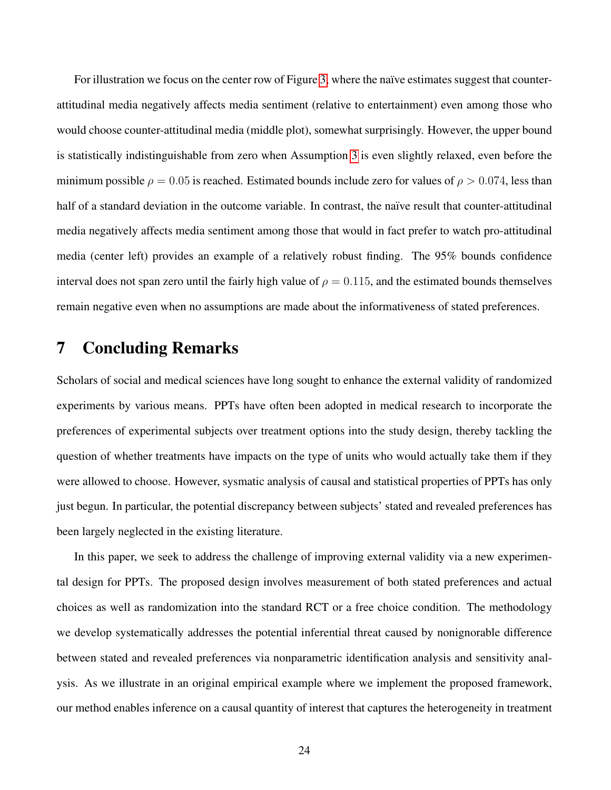For illustration we focus on the center row of Figure [3,](#page-25-0) where the naïve estimates suggest that counterattitudinal media negatively affects media sentiment (relative to entertainment) even among those who would choose counter-attitudinal media (middle plot), somewhat surprisingly. However, the upper bound is statistically indistinguishable from zero when Assumption [3](#page-9-0) is even slightly relaxed, even before the minimum possible  $\rho = 0.05$  is reached. Estimated bounds include zero for values of  $\rho > 0.074$ , less than half of a standard deviation in the outcome variable. In contrast, the naïve result that counter-attitudinal media negatively affects media sentiment among those that would in fact prefer to watch pro-attitudinal media (center left) provides an example of a relatively robust finding. The 95% bounds confidence interval does not span zero until the fairly high value of  $\rho = 0.115$ , and the estimated bounds themselves remain negative even when no assumptions are made about the informativeness of stated preferences.

# <span id="page-24-0"></span>7 Concluding Remarks

Scholars of social and medical sciences have long sought to enhance the external validity of randomized experiments by various means. PPTs have often been adopted in medical research to incorporate the preferences of experimental subjects over treatment options into the study design, thereby tackling the question of whether treatments have impacts on the type of units who would actually take them if they were allowed to choose. However, sysmatic analysis of causal and statistical properties of PPTs has only just begun. In particular, the potential discrepancy between subjects' stated and revealed preferences has been largely neglected in the existing literature.

In this paper, we seek to address the challenge of improving external validity via a new experimental design for PPTs. The proposed design involves measurement of both stated preferences and actual choices as well as randomization into the standard RCT or a free choice condition. The methodology we develop systematically addresses the potential inferential threat caused by nonignorable difference between stated and revealed preferences via nonparametric identification analysis and sensitivity analysis. As we illustrate in an original empirical example where we implement the proposed framework, our method enables inference on a causal quantity of interest that captures the heterogeneity in treatment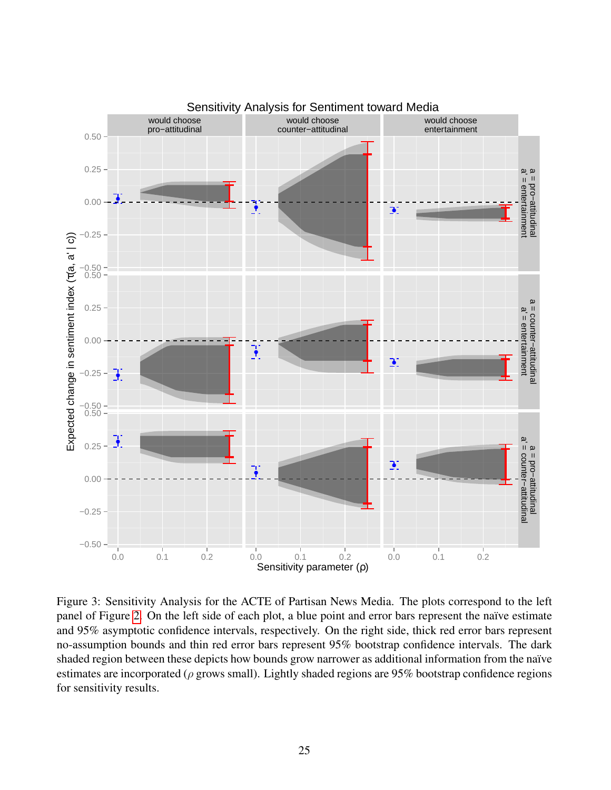

<span id="page-25-0"></span>Figure 3: Sensitivity Analysis for the ACTE of Partisan News Media. The plots correspond to the left panel of Figure [2.](#page-21-0) On the left side of each plot, a blue point and error bars represent the naïve estimate and 95% asymptotic confidence intervals, respectively. On the right side, thick red error bars represent no-assumption bounds and thin red error bars represent 95% bootstrap confidence intervals. The dark shaded region between these depicts how bounds grow narrower as additional information from the naïve estimates are incorporated ( $\rho$  grows small). Lightly shaded regions are 95% bootstrap confidence regions for sensitivity results.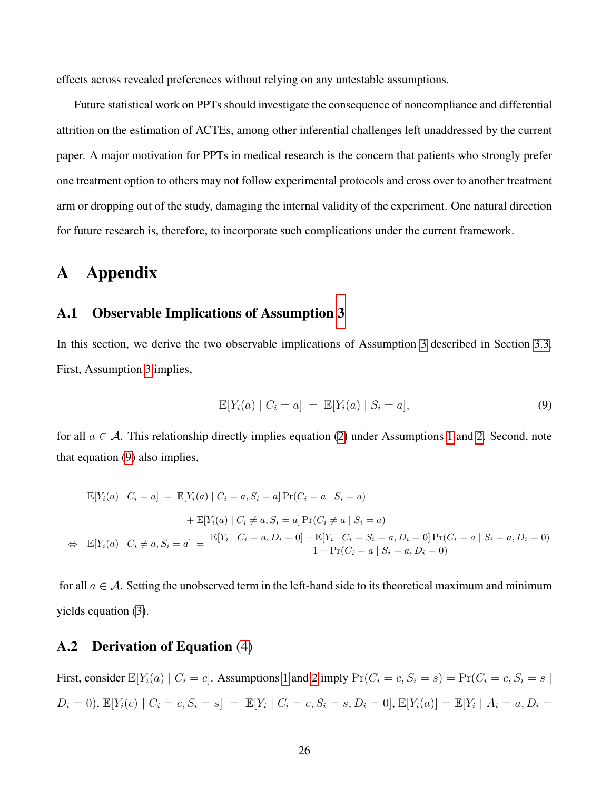effects across revealed preferences without relying on any untestable assumptions.

Future statistical work on PPTs should investigate the consequence of noncompliance and differential attrition on the estimation of ACTEs, among other inferential challenges left unaddressed by the current paper. A major motivation for PPTs in medical research is the concern that patients who strongly prefer one treatment option to others may not follow experimental protocols and cross over to another treatment arm or dropping out of the study, damaging the internal validity of the experiment. One natural direction for future research is, therefore, to incorporate such complications under the current framework.

# A Appendix

#### <span id="page-26-0"></span>A.1 Observable Implications of Assumption [3](#page-9-0)

In this section, we derive the two observable implications of Assumption [3](#page-9-0) described in Section [3.3.](#page-9-3) First, Assumption [3](#page-9-0) implies,

<span id="page-26-2"></span>
$$
\mathbb{E}[Y_i(a) | C_i = a] = \mathbb{E}[Y_i(a) | S_i = a], \tag{9}
$$

for all  $a \in \mathcal{A}$ . This relationship directly implies equation [\(2\)](#page-10-0) under Assumptions [1](#page-9-1) and [2.](#page-9-2) Second, note that equation [\(9\)](#page-26-2) also implies,

$$
\mathbb{E}[Y_i(a) | C_i = a] = \mathbb{E}[Y_i(a) | C_i = a, S_i = a] \Pr(C_i = a | S_i = a)
$$
  
+  $\mathbb{E}[Y_i(a) | C_i \neq a, S_i = a] \Pr(C_i \neq a | S_i = a)$   

$$
\Leftrightarrow \mathbb{E}[Y_i(a) | C_i \neq a, S_i = a] = \frac{\mathbb{E}[Y_i | C_i = a, D_i = 0] - \mathbb{E}[Y_i | C_i = S_i = a, D_i = 0] \Pr(C_i = a | S_i = a, D_i = 0)}{1 - \Pr(C_i = a | S_i = a, D_i = 0)}
$$

for all  $a \in \mathcal{A}$ . Setting the unobserved term in the left-hand side to its theoretical maximum and minimum yields equation [\(3\)](#page-10-1).

#### <span id="page-26-1"></span>A.2 Derivation of Equation [\(4\)](#page-11-1)

First, consider  $\mathbb{E}[Y_i(a) | C_i = c]$ . Assumptions [1](#page-9-1) and [2](#page-9-2) imply  $\Pr(C_i = c, S_i = s) = \Pr(C_i = c, S_i = s |$  $D_i = 0$ ,  $\mathbb{E}[Y_i(c) | C_i = c, S_i = s] = \mathbb{E}[Y_i | C_i = c, S_i = s, D_i = 0], \mathbb{E}[Y_i(a)] = \mathbb{E}[Y_i | A_i = a, D_i = s]$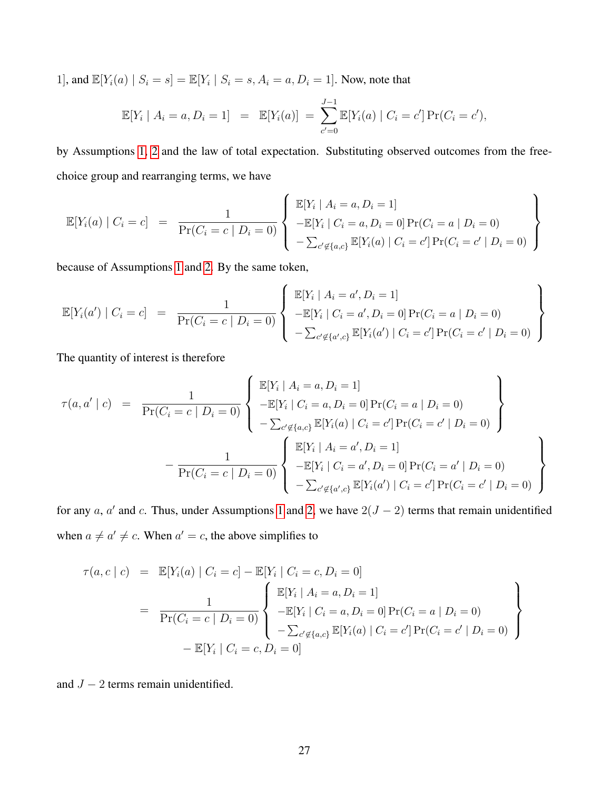1], and  $\mathbb{E}[Y_i(a) | S_i = s] = \mathbb{E}[Y_i | S_i = s, A_i = a, D_i = 1]$ . Now, note that

$$
\mathbb{E}[Y_i | A_i = a, D_i = 1] = \mathbb{E}[Y_i(a)] = \sum_{c'=0}^{J-1} \mathbb{E}[Y_i(a) | C_i = c'] \Pr(C_i = c'),
$$

by Assumptions [1,](#page-9-1) [2](#page-9-2) and the law of total expectation. Substituting observed outcomes from the freechoice group and rearranging terms, we have

$$
\mathbb{E}[Y_i(a) | C_i = c] = \frac{1}{\Pr(C_i = c | D_i = 0)} \left\{ \begin{array}{l} \mathbb{E}[Y_i | A_i = a, D_i = 1] \\ -\mathbb{E}[Y_i | C_i = a, D_i = 0] \Pr(C_i = a | D_i = 0) \\ -\sum_{c' \notin \{a, c\}} \mathbb{E}[Y_i(a) | C_i = c'] \Pr(C_i = c' | D_i = 0) \end{array} \right\}
$$

because of Assumptions [1](#page-9-1) and [2.](#page-9-2) By the same token,

$$
\mathbb{E}[Y_i(a') | C_i = c] = \frac{1}{\Pr(C_i = c | D_i = 0)} \left\{ \begin{array}{l} \mathbb{E}[Y_i | A_i = a', D_i = 1] \\ -\mathbb{E}[Y_i | C_i = a', D_i = 0] \Pr(C_i = a | D_i = 0) \\ -\sum_{c' \notin \{a', c\}} \mathbb{E}[Y_i(a') | C_i = c'] \Pr(C_i = c' | D_i = 0) \end{array} \right\}
$$

The quantity of interest is therefore

$$
\tau(a, a' \mid c) = \frac{1}{\Pr(C_i = c \mid D_i = 0)} \left\{ \begin{array}{l l} \mathbb{E}[Y_i \mid A_i = a, D_i = 1] \\ -\mathbb{E}[Y_i \mid C_i = a, D_i = 0] \Pr(C_i = a \mid D_i = 0) \\ -\sum_{c' \notin \{a, c\}} \mathbb{E}[Y_i(a) \mid C_i = c'] \Pr(C_i = c' \mid D_i = 0) \end{array} \right\} \\ -\frac{1}{\Pr(C_i = c \mid D_i = 0)} \left\{ \begin{array}{l l} \mathbb{E}[Y_i \mid A_i = a', D_i = 1] \\ -\mathbb{E}[Y_i \mid C_i = a', D_i = 0] \Pr(C_i = a' \mid D_i = 0) \\ -\sum_{c' \notin \{a', c\}} \mathbb{E}[Y_i(a') \mid C_i = c'] \Pr(C_i = c' \mid D_i = 0) \end{array} \right\}
$$

for any a, a' and c. Thus, under Assumptions [1](#page-9-1) and [2,](#page-9-2) we have  $2(J - 2)$  terms that remain unidentified when  $a \neq a' \neq c$ . When  $a' = c$ , the above simplifies to

$$
\tau(a, c \mid c) = \mathbb{E}[Y_i(a) \mid C_i = c] - \mathbb{E}[Y_i \mid C_i = c, D_i = 0]
$$
  
\n
$$
= \frac{1}{\Pr(C_i = c \mid D_i = 0)} \left\{ \begin{aligned} \mathbb{E}[Y_i \mid A_i = a, D_i = 1] \\ -\mathbb{E}[Y_i \mid C_i = a, D_i = 0] \Pr(C_i = a \mid D_i = 0) \\ -\sum_{c' \notin \{a, c\}} \mathbb{E}[Y_i(a) \mid C_i = c'] \Pr(C_i = c' \mid D_i = 0) \end{aligned} \right\}
$$
  
\n
$$
- \mathbb{E}[Y_i \mid C_i = c, D_i = 0]
$$

<span id="page-27-0"></span>and  $J - 2$  terms remain unidentified.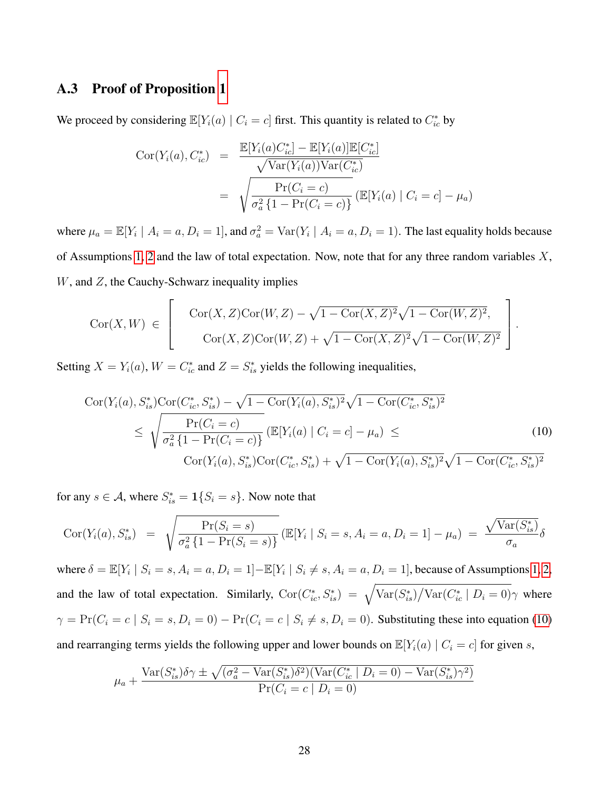#### A.3 Proof of Proposition [1](#page-12-2)

We proceed by considering  $\mathbb{E}[Y_i(a) | C_i = c]$  first. This quantity is related to  $C_{ic}^*$  by

$$
Cor(Y_i(a), C_{ic}^*) = \frac{\mathbb{E}[Y_i(a)C_{ic}^*] - \mathbb{E}[Y_i(a)]\mathbb{E}[C_{ic}^*]}{\sqrt{\text{Var}(Y_i(a))\text{Var}(C_{ic}^*)}}
$$
  
= 
$$
\sqrt{\frac{\text{Pr}(C_i = c)}{\sigma_a^2 \{1 - \text{Pr}(C_i = c)\}} (\mathbb{E}[Y_i(a) | C_i = c] - \mu_a)}
$$

where  $\mu_a = \mathbb{E}[Y_i \mid A_i = a, D_i = 1]$ , and  $\sigma_a^2 = \text{Var}(Y_i \mid A_i = a, D_i = 1)$ . The last equality holds because of Assumptions [1,](#page-9-1) [2](#page-9-2) and the law of total expectation. Now, note that for any three random variables  $X$ ,  $W$ , and  $Z$ , the Cauchy-Schwarz inequality implies

$$
Cor(X, W) \in \left[ \begin{array}{c} \operatorname{Cor}(X, Z) \operatorname{Cor}(W, Z) - \sqrt{1 - \operatorname{Cor}(X, Z)^2} \sqrt{1 - \operatorname{Cor}(W, Z)^2}, \\ \operatorname{Cor}(X, Z) \operatorname{Cor}(W, Z) + \sqrt{1 - \operatorname{Cor}(X, Z)^2} \sqrt{1 - \operatorname{Cor}(W, Z)^2} \end{array} \right].
$$

Setting  $X = Y_i(a)$ ,  $W = C_{ic}^*$  and  $Z = S_{is}^*$  yields the following inequalities,

<span id="page-28-0"></span>
$$
\begin{split} \operatorname{Cor}(Y_i(a), S_{is}^*) \operatorname{Cor}(C_{ic}^*, S_{is}^*) - \sqrt{1 - \operatorname{Cor}(Y_i(a), S_{is}^*)^2} \sqrt{1 - \operatorname{Cor}(C_{ic}^*, S_{is}^*)^2} \\ &\leq \sqrt{\frac{\Pr(C_i = c)}{\sigma_a^2 \{1 - \Pr(C_i = c)\}}} \left( \mathbb{E}[Y_i(a) \mid C_i = c] - \mu_a \right) \leq \\ \operatorname{Cor}(Y_i(a), S_{is}^*) \operatorname{Cor}(C_{ic}^*, S_{is}^*) + \sqrt{1 - \operatorname{Cor}(Y_i(a), S_{is}^*)^2} \sqrt{1 - \operatorname{Cor}(C_{ic}^*, S_{is}^*)^2} \end{split} \tag{10}
$$

for any  $s \in \mathcal{A}$ , where  $S_{is}^* = \mathbf{1}\{S_i = s\}$ . Now note that

$$
Cor(Y_i(a), S_{is}^*) = \sqrt{\frac{Pr(S_i = s)}{\sigma_a^2 \{1 - Pr(S_i = s)\}}} (\mathbb{E}[Y_i | S_i = s, A_i = a, D_i = 1] - \mu_a) = \frac{\sqrt{Var(S_{is}^*)}}{\sigma_a} \delta
$$

where  $\delta = \mathbb{E}[Y_i \mid S_i = s, A_i = a, D_i = 1] - \mathbb{E}[Y_i \mid S_i \neq s, A_i = a, D_i = 1]$ , because of Assumptions [1,](#page-9-1) [2,](#page-9-2) and the law of total expectation. Similarly,  $Cor(C_{ic}^*, S_{is}^*) = \sqrt{\text{Var}(S_{is}^*) / \text{Var}(C_{ic}^* | D_i = 0)}$  where  $\gamma = \Pr(C_i = c \mid S_i = s, D_i = 0) - \Pr(C_i = c \mid S_i \neq s, D_i = 0)$ . Substituting these into equation [\(10\)](#page-28-0) and rearranging terms yields the following upper and lower bounds on  $\mathbb{E}[Y_i(a) | C_i = c]$  for given s,

$$
\mu_a + \frac{\text{Var}(S_{is}^*)\delta \gamma \pm \sqrt{(\sigma_a^2 - \text{Var}(S_{is}^*)\delta^2)(\text{Var}(C_{ic}^* \mid D_i = 0) - \text{Var}(S_{is}^*)\gamma^2)}}{\Pr(C_i = c \mid D_i = 0)}
$$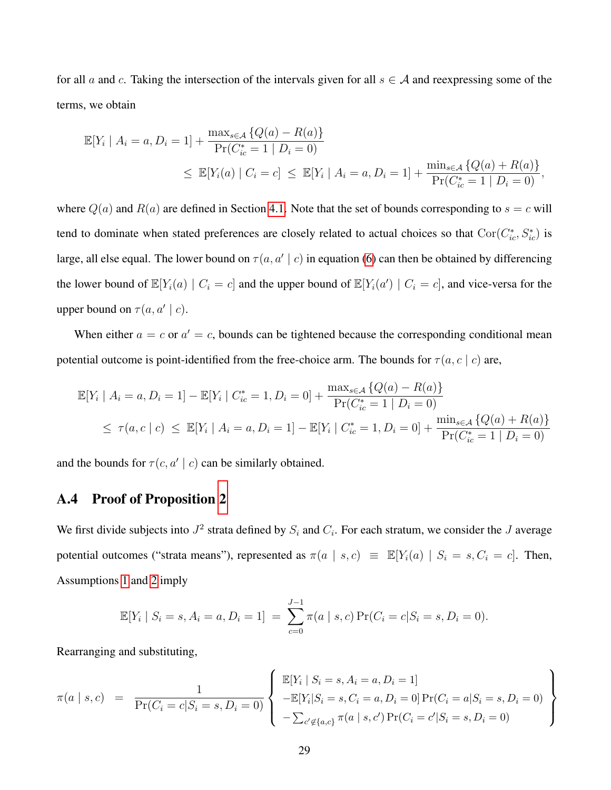for all a and c. Taking the intersection of the intervals given for all  $s \in A$  and reexpressing some of the terms, we obtain

$$
\mathbb{E}[Y_i | A_i = a, D_i = 1] + \frac{\max_{s \in \mathcal{A}} \{Q(a) - R(a)\}}{\Pr(C_{ic}^* = 1 | D_i = 0)}
$$
  
 
$$
\leq \mathbb{E}[Y_i(a) | C_i = c] \leq \mathbb{E}[Y_i | A_i = a, D_i = 1] + \frac{\min_{s \in \mathcal{A}} \{Q(a) + R(a)\}}{\Pr(C_{ic}^* = 1 | D_i = 0)},
$$

where  $Q(a)$  and  $R(a)$  are defined in Section [4.1.](#page-11-2) Note that the set of bounds corresponding to  $s = c$  will tend to dominate when stated preferences are closely related to actual choices so that  $Cor(C_{ic}^*, S_{ic}^*)$  is large, all else equal. The lower bound on  $\tau(a, a' \mid c)$  in equation [\(6\)](#page-12-1) can then be obtained by differencing the lower bound of  $\mathbb{E}[Y_i(a) | C_i = c]$  and the upper bound of  $\mathbb{E}[Y_i(a') | C_i = c]$ , and vice-versa for the upper bound on  $\tau(a, a' \mid c)$ .

When either  $a = c$  or  $a' = c$ , bounds can be tightened because the corresponding conditional mean potential outcome is point-identified from the free-choice arm. The bounds for  $\tau(a, c \mid c)$  are,

$$
\mathbb{E}[Y_i | A_i = a, D_i = 1] - \mathbb{E}[Y_i | C_{ic}^* = 1, D_i = 0] + \frac{\max_{s \in \mathcal{A}} \{Q(a) - R(a)\}}{\Pr(C_{ic}^* = 1 | D_i = 0)}
$$
  
\n
$$
\leq \tau(a, c | c) \leq \mathbb{E}[Y_i | A_i = a, D_i = 1] - \mathbb{E}[Y_i | C_{ic}^* = 1, D_i = 0] + \frac{\min_{s \in \mathcal{A}} \{Q(a) + R(a)\}}{\Pr(C_{ic}^* = 1 | D_i = 0)}
$$

<span id="page-29-0"></span>and the bounds for  $\tau(c, a' | c)$  can be similarly obtained.

#### A.4 Proof of Proposition [2](#page-14-0)

We first divide subjects into  $J^2$  strata defined by  $S_i$  and  $C_i$ . For each stratum, we consider the  $J$  average potential outcomes ("strata means"), represented as  $\pi(a \mid s, c) \equiv \mathbb{E}[Y_i(a) \mid S_i = s, C_i = c]$ . Then, Assumptions [1](#page-9-1) and [2](#page-9-2) imply

$$
\mathbb{E}[Y_i \mid S_i = s, A_i = a, D_i = 1] = \sum_{c=0}^{J-1} \pi(a \mid s, c) \Pr(C_i = c | S_i = s, D_i = 0).
$$

Rearranging and substituting,

$$
\pi(a \mid s, c) = \frac{1}{\Pr(C_i = c | S_i = s, D_i = 0)} \left\{ \begin{array}{l} \mathbb{E}[Y_i \mid S_i = s, A_i = a, D_i = 1] \\ -\mathbb{E}[Y_i | S_i = s, C_i = a, D_i = 0] \Pr(C_i = a | S_i = s, D_i = 0) \\ -\sum_{c' \notin \{a, c\}} \pi(a \mid s, c') \Pr(C_i = c' | S_i = s, D_i = 0) \end{array} \right\}
$$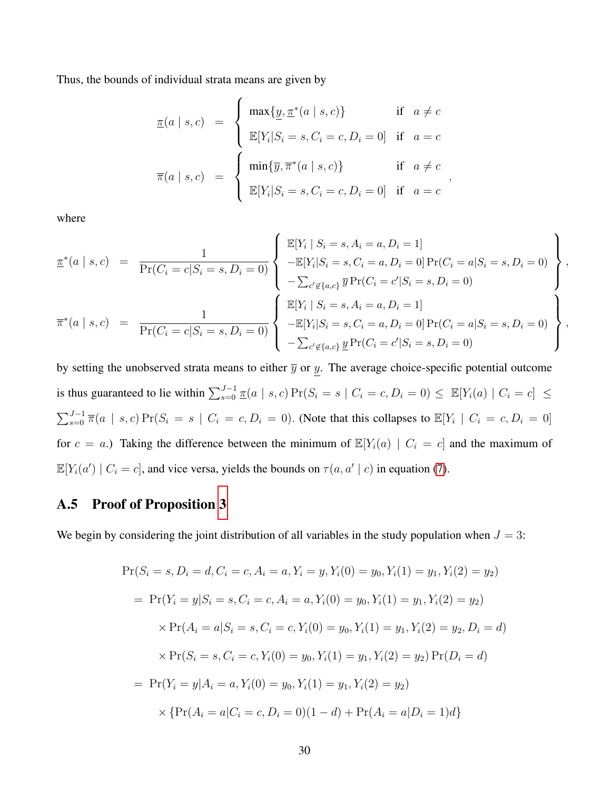Thus, the bounds of individual strata means are given by

$$
\underline{\pi}(a \mid s, c) = \begin{cases}\n\max\{\underline{y}, \underline{\pi}^*(a \mid s, c)\} & \text{if } a \neq c \\
\mathbb{E}[Y_i | S_i = s, C_i = c, D_i = 0] & \text{if } a = c \\
\overline{\pi}(a \mid s, c) = \begin{cases}\n\min\{\overline{y}, \overline{\pi}^*(a \mid s, c)\} & \text{if } a \neq c \\
\mathbb{E}[Y_i | S_i = s, C_i = c, D_i = 0] & \text{if } a = c\n\end{cases},\n\end{cases}
$$

where

$$
\underline{\pi}^*(a \mid s, c) = \frac{1}{\Pr(C_i = c | S_i = s, D_i = 0)} \left\{ \begin{array}{l} \mathbb{E}[Y_i \mid S_i = s, A_i = a, D_i = 1] \\ -\mathbb{E}[Y_i | S_i = s, C_i = a, D_i = 0] \Pr(C_i = a | S_i = s, D_i = 0) \\ -\sum_{c' \notin \{a, c\}} \overline{y} \Pr(C_i = c' | S_i = s, D_i = 0) \\ -\mathbb{E}[Y_i \mid S_i = s, A_i = a, D_i = 1] \end{array} \right\},
$$
\n
$$
\overline{\pi}^*(a \mid s, c) = \frac{1}{\Pr(C_i = c | S_i = s, D_i = 0)} \left\{ \begin{array}{l} \mathbb{E}[Y_i \mid S_i = s, A_i = a, D_i = 1] \\ -\mathbb{E}[Y_i | S_i = s, C_i = a, D_i = 0] \Pr(C_i = a | S_i = s, D_i = 0) \\ -\sum_{c' \notin \{a, c\}} \underline{y} \Pr(C_i = c' | S_i = s, D_i = 0) \end{array} \right\},
$$

by setting the unobserved strata means to either  $\overline{y}$  or  $y$ . The average choice-specific potential outcome is thus guaranteed to lie within  $\sum_{s=0}^{J-1} \frac{\pi(a \mid s, c)}{\pi}$   $Pr(S_i = s \mid C_i = c, D_i = 0) \leq E[Y_i(a) \mid C_i = c] \leq$  $\sum_{s=0}^{J-1} \overline{\pi}(a \mid s, c) \Pr(S_i = s \mid C_i = c, D_i = 0)$ . (Note that this collapses to  $\mathbb{E}[Y_i \mid C_i = c, D_i = 0]$ for  $c = a$ .) Taking the difference between the minimum of  $\mathbb{E}[Y_i(a) | C_i = c]$  and the maximum of  $\mathbb{E}[Y_i(a') | C_i = c]$ , and vice versa, yields the bounds on  $\tau(a, a' | c)$  in equation [\(7\)](#page-14-1).

#### <span id="page-30-0"></span>A.5 Proof of Proposition [3](#page-16-1)

We begin by considering the joint distribution of all variables in the study population when  $J = 3$ :

<span id="page-30-1"></span>
$$
\Pr(S_i = s, D_i = d, C_i = c, A_i = a, Y_i = y, Y_i(0) = y_0, Y_i(1) = y_1, Y_i(2) = y_2)
$$
  
= 
$$
\Pr(Y_i = y | S_i = s, C_i = c, A_i = a, Y_i(0) = y_0, Y_i(1) = y_1, Y_i(2) = y_2)
$$
  

$$
\times \Pr(A_i = a | S_i = s, C_i = c, Y_i(0) = y_0, Y_i(1) = y_1, Y_i(2) = y_2, D_i = d)
$$
  

$$
\times \Pr(S_i = s, C_i = c, Y_i(0) = y_0, Y_i(1) = y_1, Y_i(2) = y_2) \Pr(D_i = d)
$$
  
= 
$$
\Pr(Y_i = y | A_i = a, Y_i(0) = y_0, Y_i(1) = y_1, Y_i(2) = y_2)
$$
  

$$
\times \{ \Pr(A_i = a | C_i = c, D_i = 0)(1 - d) + \Pr(A_i = a | D_i = 1) d \}
$$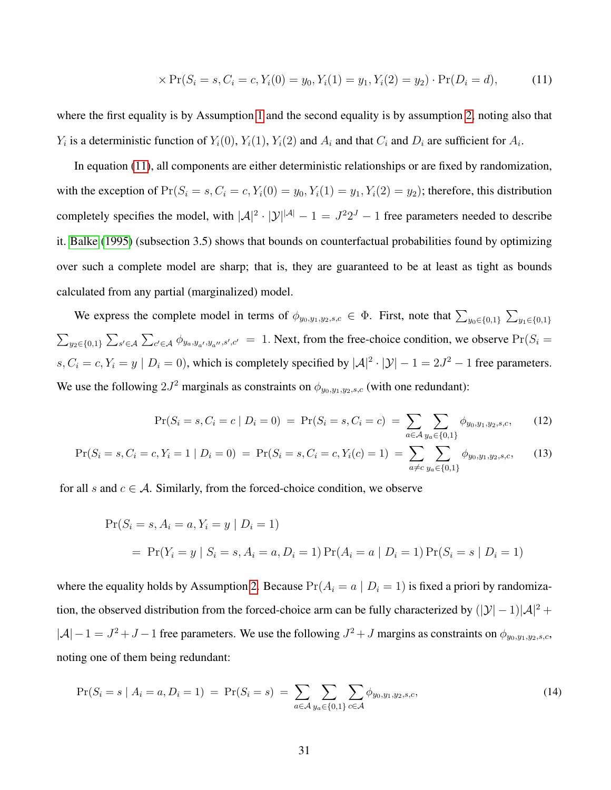$$
\times \Pr(S_i = s, C_i = c, Y_i(0) = y_0, Y_i(1) = y_1, Y_i(2) = y_2) \cdot \Pr(D_i = d), \tag{11}
$$

where the first equality is by Assumption [1](#page-9-1) and the second equality is by assumption [2,](#page-9-2) noting also that  $Y_i$  is a deterministic function of  $Y_i(0)$ ,  $Y_i(1)$ ,  $Y_i(2)$  and  $A_i$  and that  $C_i$  and  $D_i$  are sufficient for  $A_i$ .

In equation [\(11\)](#page-30-1), all components are either deterministic relationships or are fixed by randomization, with the exception of  $Pr(S_i = s, C_i = c, Y_i(0) = y_0, Y_i(1) = y_1, Y_i(2) = y_2)$ ; therefore, this distribution completely specifies the model, with  $|A|^2 \cdot |Y|^{ |A |} - 1 = J^2 2^J - 1$  free parameters needed to describe it. [Balke](#page-32-5) [\(1995\)](#page-32-5) (subsection 3.5) shows that bounds on counterfactual probabilities found by optimizing over such a complete model are sharp; that is, they are guaranteed to be at least as tight as bounds calculated from any partial (marginalized) model.

We express the complete model in terms of  $\phi_{y_0,y_1,y_2,s,c} \in \Phi$ . First, note that  $\sum_{y_0 \in \{0,1\}} \sum_{y_1 \in \{0,1\}}$  $\sum_{y_2 \in \{0,1\}} \sum_{s' \in A} \sum_{c' \in A} \phi_{y_a, y_{a'}, y_{a'}, s', c'} = 1$ . Next, from the free-choice condition, we observe  $Pr(S_i =$  $s, C_i = c, Y_i = y \mid D_i = 0$ , which is completely specified by  $|A|^2 \cdot |Y| - 1 = 2J^2 - 1$  free parameters. We use the following  $2J^2$  marginals as constraints on  $\phi_{y_0,y_1,y_2,s,c}$  (with one redundant):

<span id="page-31-1"></span>
$$
\Pr(S_i = s, C_i = c \mid D_i = 0) = \Pr(S_i = s, C_i = c) = \sum_{a \in A} \sum_{y_a \in \{0, 1\}} \phi_{y_0, y_1, y_2, s, c}, \tag{12}
$$

$$
\Pr(S_i = s, C_i = c, Y_i = 1 \mid D_i = 0) = \Pr(S_i = s, C_i = c, Y_i(c) = 1) = \sum_{a \neq c} \sum_{y_a \in \{0, 1\}} \phi_{y_0, y_1, y_2, s, c}, \tag{13}
$$

for all s and  $c \in A$ . Similarly, from the forced-choice condition, we observe

$$
Pr(S_i = s, A_i = a, Y_i = y | D_i = 1)
$$
  
= 
$$
Pr(Y_i = y | S_i = s, A_i = a, D_i = 1) Pr(A_i = a | D_i = 1) Pr(S_i = s | D_i = 1)
$$

where the equality holds by Assumption [2.](#page-9-2) Because  $Pr(A_i = a | D_i = 1)$  is fixed a priori by randomization, the observed distribution from the forced-choice arm can be fully characterized by  $(|\mathcal{Y}| - 1)|\mathcal{A}|^2$  +  $|A|-1 = J^2 + J - 1$  free parameters. We use the following  $J^2 + J$  margins as constraints on  $\phi_{y_0,y_1,y_2,s,c}$ , noting one of them being redundant:

<span id="page-31-0"></span>
$$
\Pr(S_i = s \mid A_i = a, D_i = 1) = \Pr(S_i = s) = \sum_{a \in A} \sum_{y_a \in \{0, 1\}} \sum_{c \in A} \phi_{y_0, y_1, y_2, s, c},
$$
\n(14)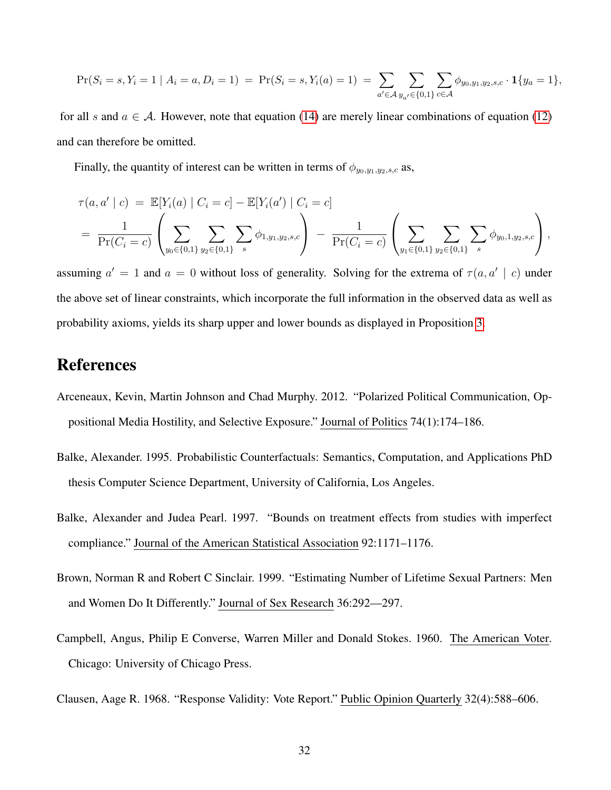$$
\Pr(S_i = s, Y_i = 1 \mid A_i = a, D_i = 1) = \Pr(S_i = s, Y_i(a) = 1) = \sum_{a' \in \mathcal{A}} \sum_{y_{a'} \in \{0, 1\}} \sum_{c \in \mathcal{A}} \phi_{y_0, y_1, y_2, s, c} \cdot \mathbf{1}\{y_a = 1\},
$$

for all s and  $a \in A$ . However, note that equation [\(14\)](#page-31-0) are merely linear combinations of equation [\(12\)](#page-31-1) and can therefore be omitted.

Finally, the quantity of interest can be written in terms of  $\phi_{y_0,y_1,y_2,s,c}$  as,

$$
\tau(a, a' \mid c) = \mathbb{E}[Y_i(a) \mid C_i = c] - \mathbb{E}[Y_i(a') \mid C_i = c]
$$
\n
$$
= \frac{1}{\Pr(C_i = c)} \left( \sum_{y_0 \in \{0,1\}} \sum_{y_2 \in \{0,1\}} \sum_s \phi_{1,y_1,y_2,s,c} \right) - \frac{1}{\Pr(C_i = c)} \left( \sum_{y_1 \in \{0,1\}} \sum_{y_2 \in \{0,1\}} \sum_s \phi_{y_0,1,y_2,s,c} \right),
$$

assuming  $a' = 1$  and  $a = 0$  without loss of generality. Solving for the extrema of  $\tau(a, a' | c)$  under the above set of linear constraints, which incorporate the full information in the observed data as well as probability axioms, yields its sharp upper and lower bounds as displayed in Proposition [3.](#page-16-1)

# References

- <span id="page-32-0"></span>Arceneaux, Kevin, Martin Johnson and Chad Murphy. 2012. "Polarized Political Communication, Oppositional Media Hostility, and Selective Exposure." Journal of Politics 74(1):174–186.
- <span id="page-32-5"></span>Balke, Alexander. 1995. Probabilistic Counterfactuals: Semantics, Computation, and Applications PhD thesis Computer Science Department, University of California, Los Angeles.
- <span id="page-32-4"></span>Balke, Alexander and Judea Pearl. 1997. "Bounds on treatment effects from studies with imperfect compliance." Journal of the American Statistical Association 92:1171–1176.
- <span id="page-32-2"></span>Brown, Norman R and Robert C Sinclair. 1999. "Estimating Number of Lifetime Sexual Partners: Men and Women Do It Differently." Journal of Sex Research 36:292—297.
- <span id="page-32-3"></span>Campbell, Angus, Philip E Converse, Warren Miller and Donald Stokes. 1960. The American Voter. Chicago: University of Chicago Press.

<span id="page-32-1"></span>Clausen, Aage R. 1968. "Response Validity: Vote Report." Public Opinion Quarterly 32(4):588–606.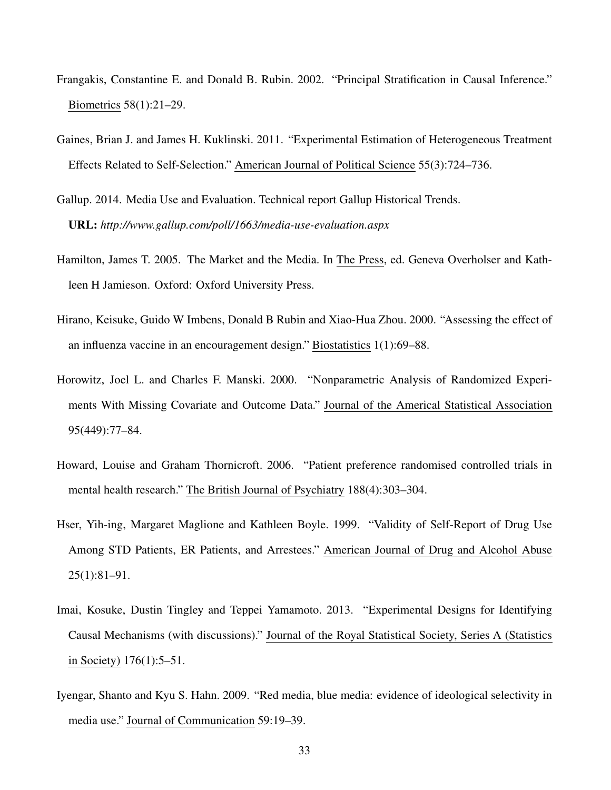- <span id="page-33-7"></span>Frangakis, Constantine E. and Donald B. Rubin. 2002. "Principal Stratification in Causal Inference." Biometrics 58(1):21–29.
- <span id="page-33-0"></span>Gaines, Brian J. and James H. Kuklinski. 2011. "Experimental Estimation of Heterogeneous Treatment Effects Related to Self-Selection." American Journal of Political Science 55(3):724–736.
- <span id="page-33-4"></span>Gallup. 2014. Media Use and Evaluation. Technical report Gallup Historical Trends. URL: *http://www.gallup.com/poll/1663/media-use-evaluation.aspx*
- <span id="page-33-2"></span>Hamilton, James T. 2005. The Market and the Media. In The Press, ed. Geneva Overholser and Kathleen H Jamieson. Oxford: Oxford University Press.
- <span id="page-33-6"></span>Hirano, Keisuke, Guido W Imbens, Donald B Rubin and Xiao-Hua Zhou. 2000. "Assessing the effect of an influenza vaccine in an encouragement design." Biostatistics 1(1):69–88.
- <span id="page-33-9"></span>Horowitz, Joel L. and Charles F. Manski. 2000. "Nonparametric Analysis of Randomized Experiments With Missing Covariate and Outcome Data." Journal of the Americal Statistical Association 95(449):77–84.
- <span id="page-33-1"></span>Howard, Louise and Graham Thornicroft. 2006. "Patient preference randomised controlled trials in mental health research." The British Journal of Psychiatry 188(4):303–304.
- <span id="page-33-5"></span>Hser, Yih-ing, Margaret Maglione and Kathleen Boyle. 1999. "Validity of Self-Report of Drug Use Among STD Patients, ER Patients, and Arrestees." American Journal of Drug and Alcohol Abuse 25(1):81–91.
- <span id="page-33-8"></span>Imai, Kosuke, Dustin Tingley and Teppei Yamamoto. 2013. "Experimental Designs for Identifying Causal Mechanisms (with discussions)." Journal of the Royal Statistical Society, Series A (Statistics in Society) 176(1):5–51.
- <span id="page-33-3"></span>Iyengar, Shanto and Kyu S. Hahn. 2009. "Red media, blue media: evidence of ideological selectivity in media use." Journal of Communication 59:19–39.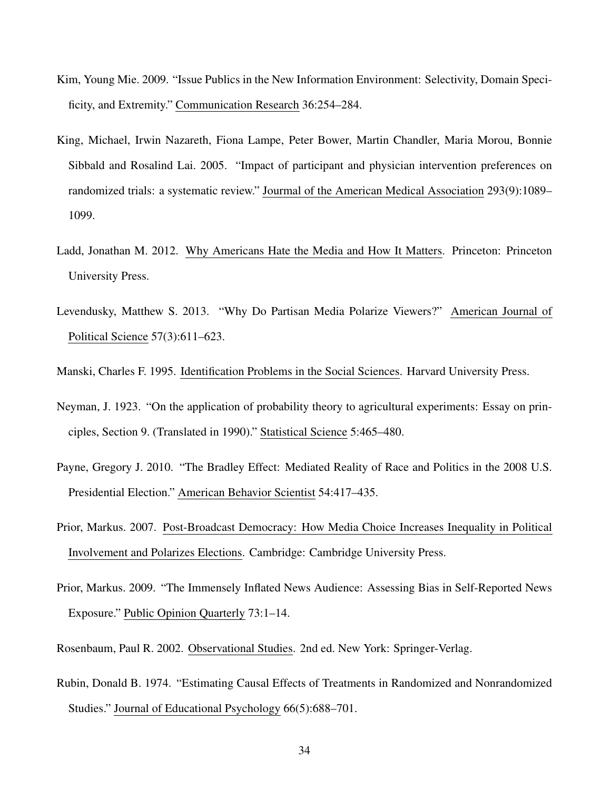- <span id="page-34-4"></span>Kim, Young Mie. 2009. "Issue Publics in the New Information Environment: Selectivity, Domain Specificity, and Extremity." Communication Research 36:254–284.
- <span id="page-34-0"></span>King, Michael, Irwin Nazareth, Fiona Lampe, Peter Bower, Martin Chandler, Maria Morou, Bonnie Sibbald and Rosalind Lai. 2005. "Impact of participant and physician intervention preferences on randomized trials: a systematic review." Jourmal of the American Medical Association 293(9):1089– 1099.
- <span id="page-34-6"></span>Ladd, Jonathan M. 2012. Why Americans Hate the Media and How It Matters. Princeton: Princeton University Press.
- <span id="page-34-5"></span>Levendusky, Matthew S. 2013. "Why Do Partisan Media Polarize Viewers?" American Journal of Political Science 57(3):611–623.

<span id="page-34-9"></span>Manski, Charles F. 1995. Identification Problems in the Social Sciences. Harvard University Press.

- <span id="page-34-1"></span>Neyman, J. 1923. "On the application of probability theory to agricultural experiments: Essay on principles, Section 9. (Translated in 1990)." Statistical Science 5:465–480.
- <span id="page-34-8"></span>Payne, Gregory J. 2010. "The Bradley Effect: Mediated Reality of Race and Politics in the 2008 U.S. Presidential Election." American Behavior Scientist 54:417–435.
- <span id="page-34-3"></span>Prior, Markus. 2007. Post-Broadcast Democracy: How Media Choice Increases Inequality in Political Involvement and Polarizes Elections. Cambridge: Cambridge University Press.
- <span id="page-34-7"></span>Prior, Markus. 2009. "The Immensely Inflated News Audience: Assessing Bias in Self-Reported News Exposure." Public Opinion Quarterly 73:1–14.
- <span id="page-34-10"></span>Rosenbaum, Paul R. 2002. Observational Studies. 2nd ed. New York: Springer-Verlag.
- <span id="page-34-2"></span>Rubin, Donald B. 1974. "Estimating Causal Effects of Treatments in Randomized and Nonrandomized Studies." Journal of Educational Psychology 66(5):688–701.